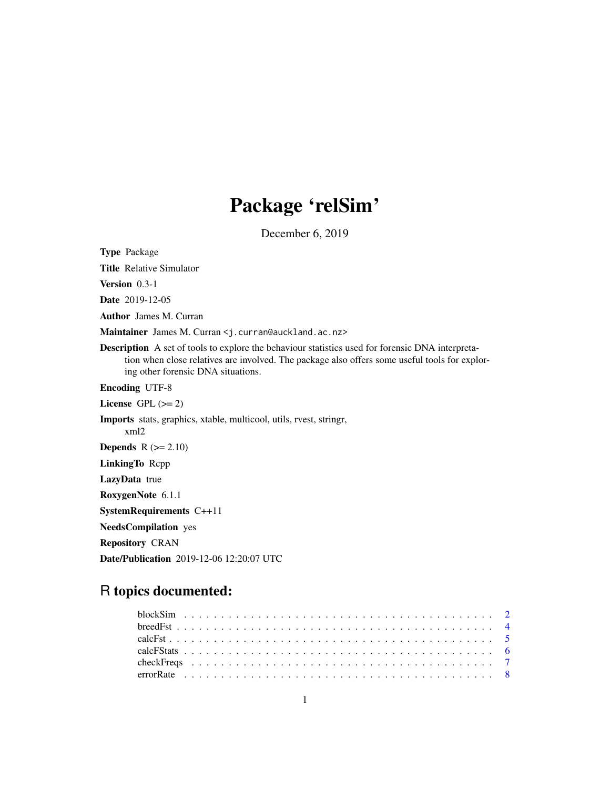# Package 'relSim'

December 6, 2019

Type Package Title Relative Simulator Version 0.3-1 Date 2019-12-05 Author James M. Curran Maintainer James M. Curran <j. curran@auckland.ac.nz> Description A set of tools to explore the behaviour statistics used for forensic DNA interpretation when close relatives are involved. The package also offers some useful tools for exploring other forensic DNA situations. Encoding UTF-8 License GPL  $(>= 2)$ Imports stats, graphics, xtable, multicool, utils, rvest, stringr, xml2 **Depends**  $R$  ( $>= 2.10$ ) LinkingTo Rcpp LazyData true RoxygenNote 6.1.1 SystemRequirements C++11 NeedsCompilation yes Repository CRAN Date/Publication 2019-12-06 12:20:07 UTC

## R topics documented: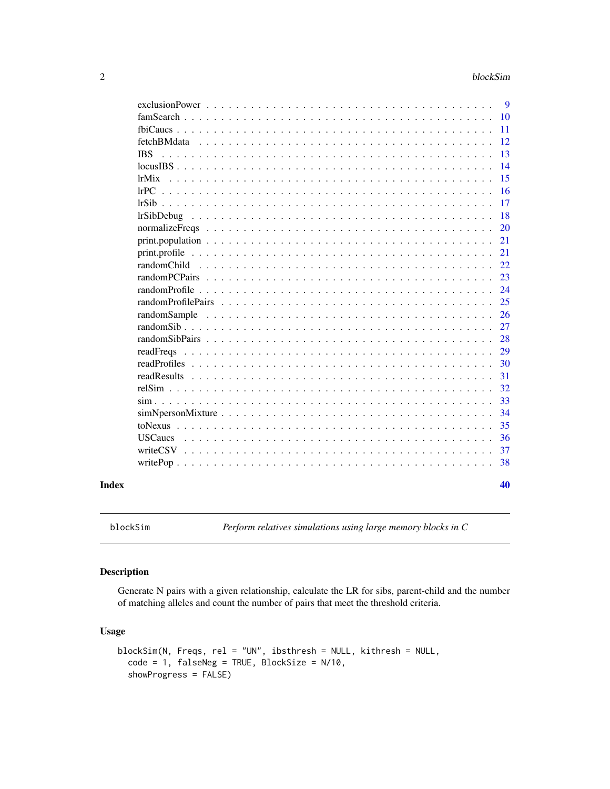<span id="page-1-0"></span>

| Index |                                                                                                                     | 40       |
|-------|---------------------------------------------------------------------------------------------------------------------|----------|
|       |                                                                                                                     | 38       |
|       |                                                                                                                     | 37       |
|       |                                                                                                                     | 36       |
|       |                                                                                                                     | 35       |
|       | $simNpersonMixture \dots \dots \dots \dots \dots \dots \dots \dots \dots \dots \dots \dots \dots \dots \dots \dots$ | 34       |
|       |                                                                                                                     | 33       |
|       |                                                                                                                     | 32       |
|       | readResults                                                                                                         | 31       |
|       |                                                                                                                     | 30       |
|       |                                                                                                                     | 29       |
|       |                                                                                                                     | 28       |
|       |                                                                                                                     | 27       |
|       | randomSample                                                                                                        | 26       |
|       |                                                                                                                     | 25       |
|       |                                                                                                                     | 24       |
|       |                                                                                                                     | 23       |
|       |                                                                                                                     | 22       |
|       |                                                                                                                     | 21       |
|       |                                                                                                                     | 21       |
|       |                                                                                                                     | 20       |
|       | <i>lrSibDebug</i>                                                                                                   | 18       |
|       |                                                                                                                     | 17       |
|       |                                                                                                                     | 16       |
|       | lrMix                                                                                                               | 15       |
|       |                                                                                                                     | 14       |
|       | <b>IBS</b>                                                                                                          | 13       |
|       |                                                                                                                     | 12       |
|       |                                                                                                                     | 10<br>11 |
|       |                                                                                                                     |          |
|       |                                                                                                                     | -9       |

blockSim *Perform relatives simulations using large memory blocks in C*

#### Description

Generate N pairs with a given relationship, calculate the LR for sibs, parent-child and the number of matching alleles and count the number of pairs that meet the threshold criteria.

#### Usage

```
blockSim(N, Freqs, rel = "UN", ibsthresh = NULL, kithresh = NULL,
 code = 1, falseNeg = TRUE, BlockSize = N/10,
  showProgress = FALSE)
```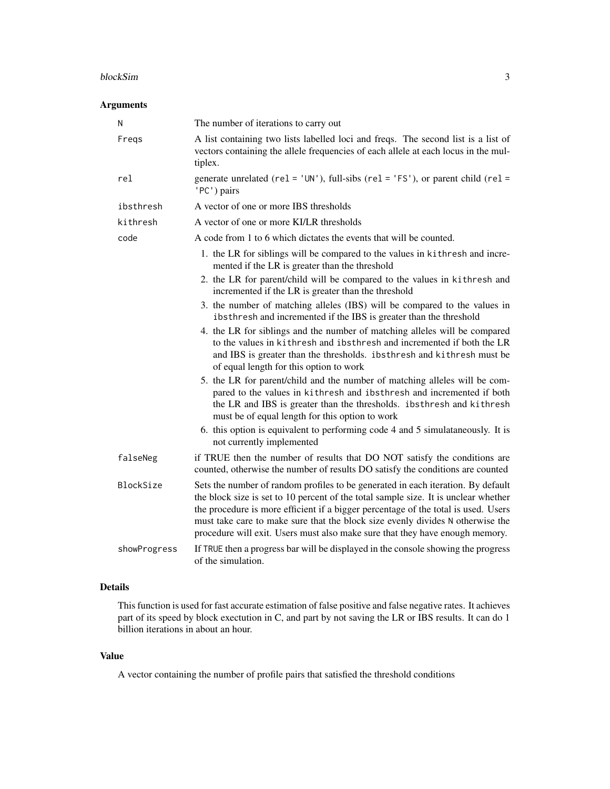#### blockSim 3

#### Arguments

| N            | The number of iterations to carry out                                                                                                                                                                                                                                                                                                                                                                                           |
|--------------|---------------------------------------------------------------------------------------------------------------------------------------------------------------------------------------------------------------------------------------------------------------------------------------------------------------------------------------------------------------------------------------------------------------------------------|
| Freqs        | A list containing two lists labelled loci and freqs. The second list is a list of<br>vectors containing the allele frequencies of each allele at each locus in the mul-<br>tiplex.                                                                                                                                                                                                                                              |
| rel          | generate unrelated ( $rel = 'UN'$ ), full-sibs ( $rel = 'FS'$ ), or parent child ( $rel =$<br>'PC') pairs                                                                                                                                                                                                                                                                                                                       |
| ibsthresh    | A vector of one or more IBS thresholds                                                                                                                                                                                                                                                                                                                                                                                          |
| kithresh     | A vector of one or more KI/LR thresholds                                                                                                                                                                                                                                                                                                                                                                                        |
| code         | A code from 1 to 6 which dictates the events that will be counted.                                                                                                                                                                                                                                                                                                                                                              |
|              | 1. the LR for siblings will be compared to the values in kithresh and incre-<br>mented if the LR is greater than the threshold                                                                                                                                                                                                                                                                                                  |
|              | 2. the LR for parent/child will be compared to the values in kithresh and<br>incremented if the LR is greater than the threshold                                                                                                                                                                                                                                                                                                |
|              | 3. the number of matching alleles (IBS) will be compared to the values in<br>ibsthresh and incremented if the IBS is greater than the threshold                                                                                                                                                                                                                                                                                 |
|              | 4. the LR for siblings and the number of matching alleles will be compared<br>to the values in kithresh and ibsthresh and incremented if both the LR<br>and IBS is greater than the thresholds. ibsthresh and kithresh must be<br>of equal length for this option to work                                                                                                                                                       |
|              | 5. the LR for parent/child and the number of matching alleles will be com-<br>pared to the values in kithresh and ibsthresh and incremented if both<br>the LR and IBS is greater than the thresholds. ibsthresh and kithresh<br>must be of equal length for this option to work                                                                                                                                                 |
|              | 6. this option is equivalent to performing code 4 and 5 simulataneously. It is<br>not currently implemented                                                                                                                                                                                                                                                                                                                     |
| falseNeg     | if TRUE then the number of results that DO NOT satisfy the conditions are<br>counted, otherwise the number of results DO satisfy the conditions are counted                                                                                                                                                                                                                                                                     |
| BlockSize    | Sets the number of random profiles to be generated in each iteration. By default<br>the block size is set to 10 percent of the total sample size. It is unclear whether<br>the procedure is more efficient if a bigger percentage of the total is used. Users<br>must take care to make sure that the block size evenly divides N otherwise the<br>procedure will exit. Users must also make sure that they have enough memory. |
| showProgress | If TRUE then a progress bar will be displayed in the console showing the progress<br>of the simulation.                                                                                                                                                                                                                                                                                                                         |

#### Details

This function is used for fast accurate estimation of false positive and false negative rates. It achieves part of its speed by block exectution in C, and part by not saving the LR or IBS results. It can do 1 billion iterations in about an hour.

#### Value

A vector containing the number of profile pairs that satisfied the threshold conditions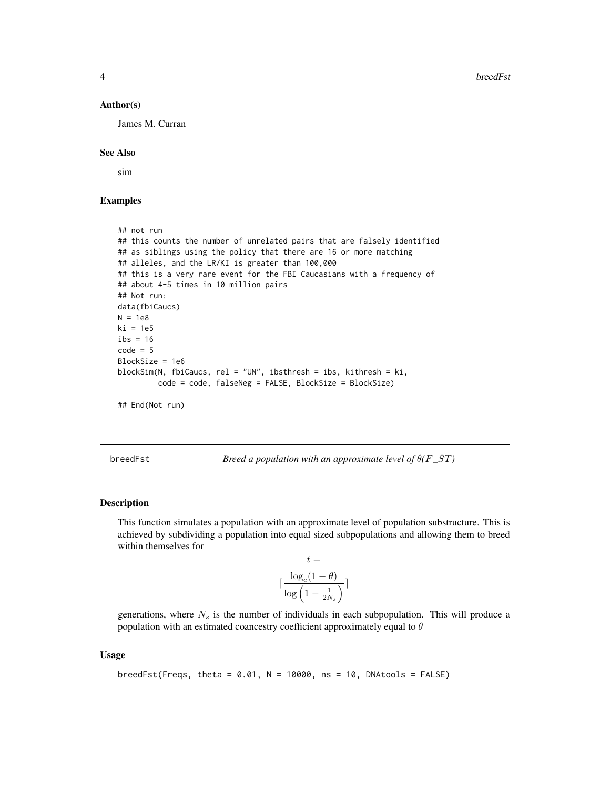#### Author(s)

James M. Curran

#### See Also

sim

#### Examples

```
## not run
## this counts the number of unrelated pairs that are falsely identified
## as siblings using the policy that there are 16 or more matching
## alleles, and the LR/KI is greater than 100,000
## this is a very rare event for the FBI Caucasians with a frequency of
## about 4-5 times in 10 million pairs
## Not run:
data(fbiCaucs)
N = 1e8
ki = 1e5
ibs = 16code = 5BlockSize = 1e6
blockSim(N, fbiCaucs, rel = "UN", ibsthresh = ibs, kithresh = ki,
         code = code, falseNeg = FALSE, BlockSize = BlockSize)
## End(Not run)
```
breedFst *Breed a population with an approximate level of* θ*(*F*\_*ST*)*

#### Description

This function simulates a population with an approximate level of population substructure. This is achieved by subdividing a population into equal sized subpopulations and allowing them to breed within themselves for

$$
t = \frac{\log_e(1-\theta)}{\log\left(1-\frac{1}{2N_s}\right)}
$$

generations, where  $N<sub>s</sub>$  is the number of individuals in each subpopulation. This will produce a population with an estimated coancestry coefficient approximately equal to  $\theta$ 

#### Usage

```
breedFst(Freqs, theta = 0.01, N = 10000, ns = 10, DNAtools = FALSE)
```
<span id="page-3-0"></span>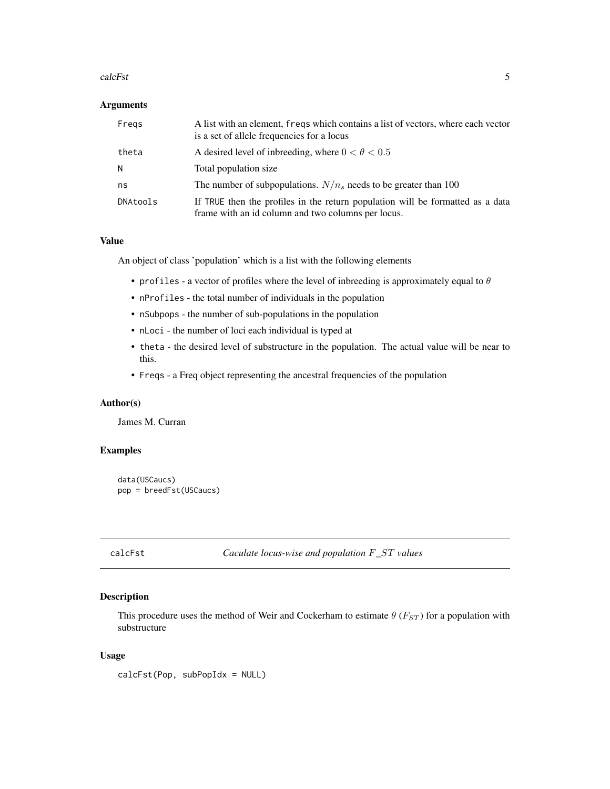#### <span id="page-4-0"></span>calcFst 5

#### Arguments

| Fregs    | A list with an element, freqs which contains a list of vectors, where each vector<br>is a set of allele frequencies for a locus      |
|----------|--------------------------------------------------------------------------------------------------------------------------------------|
| theta    | A desired level of inbreeding, where $0 < \theta < 0.5$                                                                              |
| N        | Total population size                                                                                                                |
| ns       | The number of subpopulations. $N/n_s$ needs to be greater than 100                                                                   |
| DNAtools | If TRUE then the profiles in the return population will be formatted as a data<br>frame with an id column and two columns per locus. |

#### Value

An object of class 'population' which is a list with the following elements

- profiles a vector of profiles where the level of inbreeding is approximately equal to  $\theta$
- nProfiles the total number of individuals in the population
- nSubpops the number of sub-populations in the population
- nLoci the number of loci each individual is typed at
- theta the desired level of substructure in the population. The actual value will be near to this.
- Freqs a Freq object representing the ancestral frequencies of the population

#### Author(s)

James M. Curran

#### Examples

```
data(USCaucs)
pop = breedFst(USCaucs)
```
#### Description

This procedure uses the method of Weir and Cockerham to estimate  $\theta$  ( $F_{ST}$ ) for a population with substructure

#### Usage

calcFst(Pop, subPopIdx = NULL)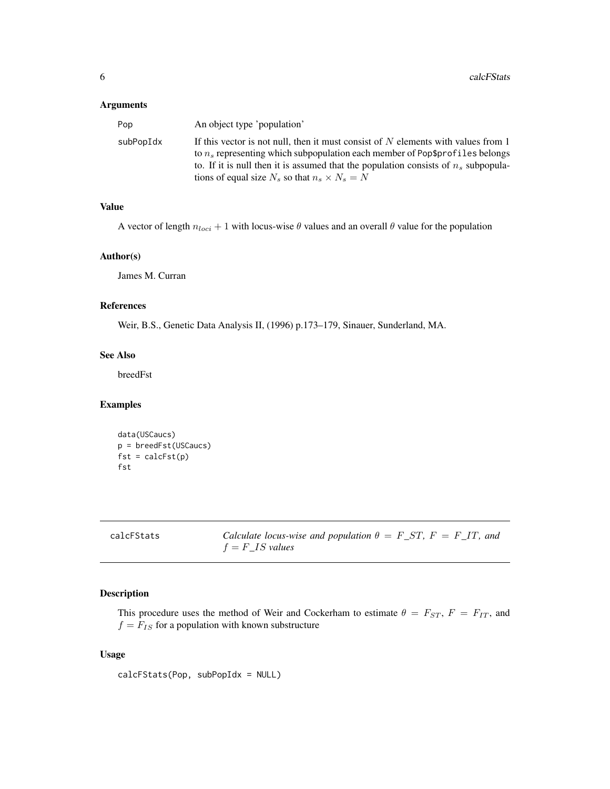#### <span id="page-5-0"></span>Arguments

| Pop       | An object type 'population'                                                                                                                                                                                                                                                                                              |
|-----------|--------------------------------------------------------------------------------------------------------------------------------------------------------------------------------------------------------------------------------------------------------------------------------------------------------------------------|
| subPopIdx | If this vector is not null, then it must consist of $N$ elements with values from 1<br>to $n_s$ representing which subpopulation each member of Pop\$profiles belongs<br>to. If it is null then it is assumed that the population consists of $n_s$ subpopula-<br>tions of equal size $N_s$ so that $n_s \times N_s = N$ |
|           |                                                                                                                                                                                                                                                                                                                          |

#### Value

A vector of length  $n_{loci} + 1$  with locus-wise  $\theta$  values and an overall  $\theta$  value for the population

#### Author(s)

James M. Curran

#### References

Weir, B.S., Genetic Data Analysis II, (1996) p.173–179, Sinauer, Sunderland, MA.

#### See Also

breedFst

#### Examples

```
data(USCaucs)
p = breedFst(USCaucs)
fst = calcFst(p)fst
```

| calcFStats |  |
|------------|--|
|------------|--|

Calculate locus-wise and population  $\theta = F\_ST$ ,  $F = F\_IT$ , and f = F*\_*IS *values*

#### Description

This procedure uses the method of Weir and Cockerham to estimate  $\theta = F_{ST}$ ,  $F = F_{IT}$ , and  $f = F_{IS}$  for a population with known substructure

#### Usage

calcFStats(Pop, subPopIdx = NULL)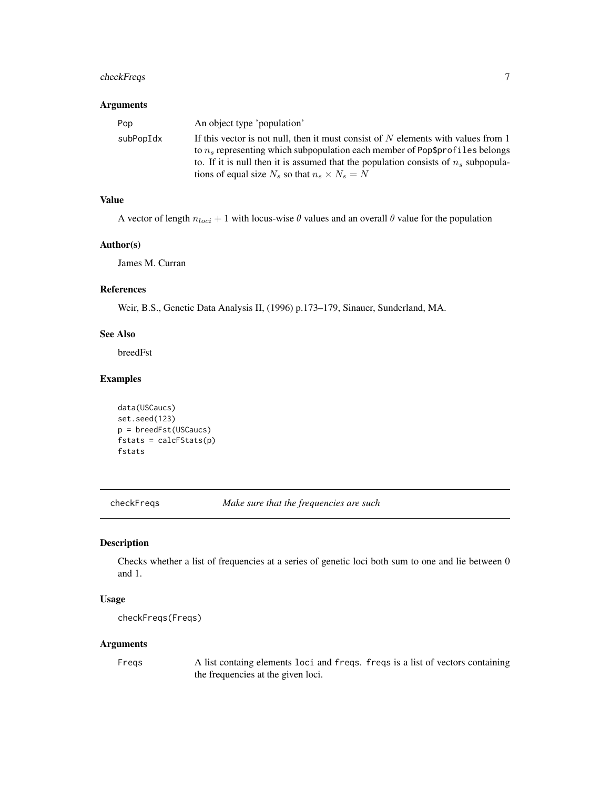#### <span id="page-6-0"></span>checkFreqs 7

#### Arguments

| Pop       | An object type 'population'                                                                                                                                           |
|-----------|-----------------------------------------------------------------------------------------------------------------------------------------------------------------------|
| subPopIdx | If this vector is not null, then it must consist of $N$ elements with values from 1<br>to $n_s$ representing which subpopulation each member of Pop\$profiles belongs |
|           | to. If it is null then it is assumed that the population consists of $n_s$ subpopula-                                                                                 |
|           | tions of equal size $N_s$ so that $n_s \times N_s = N$                                                                                                                |

#### Value

A vector of length  $n_{loci} + 1$  with locus-wise  $\theta$  values and an overall  $\theta$  value for the population

#### Author(s)

James M. Curran

#### References

Weir, B.S., Genetic Data Analysis II, (1996) p.173–179, Sinauer, Sunderland, MA.

#### See Also

breedFst

#### Examples

```
data(USCaucs)
set.seed(123)
p = breedFst(USCaucs)
fstats = calcFStats(p)
fstats
```
checkFreqs *Make sure that the frequencies are such*

#### Description

Checks whether a list of frequencies at a series of genetic loci both sum to one and lie between 0 and 1.

#### Usage

```
checkFreqs(Freqs)
```
#### Arguments

Freqs A list containg elements loci and freqs. freqs is a list of vectors containing the frequencies at the given loci.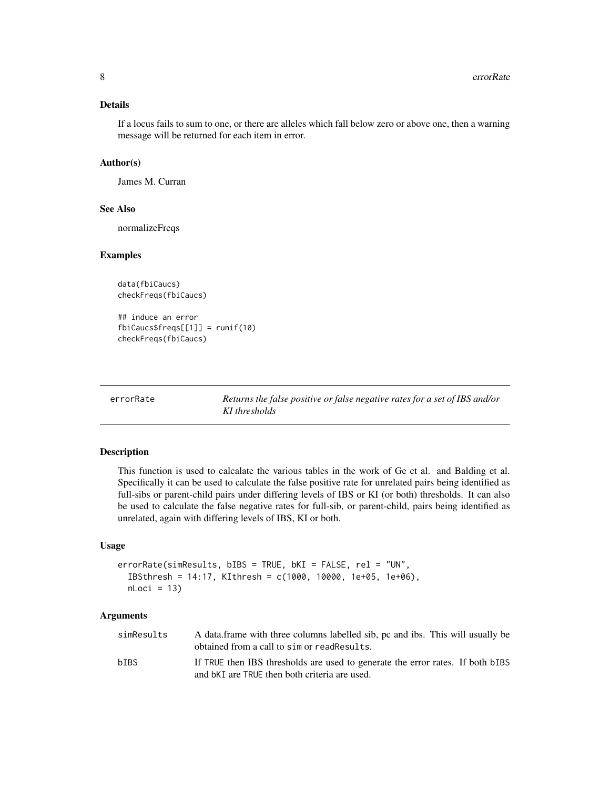#### <span id="page-7-0"></span>Details

If a locus fails to sum to one, or there are alleles which fall below zero or above one, then a warning message will be returned for each item in error.

#### Author(s)

James M. Curran

#### See Also

normalizeFreqs

#### Examples

```
data(fbiCaucs)
checkFreqs(fbiCaucs)
## induce an error
fbiCaucs$freqs[[1]] = runif(10)
```
checkFreqs(fbiCaucs)

errorRate *Returns the false positive or false negative rates for a set of IBS and/or KI thresholds*

#### Description

This function is used to calcalate the various tables in the work of Ge et al. and Balding et al. Specifically it can be used to calculate the false positive rate for unrelated pairs being identified as full-sibs or parent-child pairs under differing levels of IBS or KI (or both) thresholds. It can also be used to calculate the false negative rates for full-sib, or parent-child, pairs being identified as unrelated, again with differing levels of IBS, KI or both.

#### Usage

```
errorRate(simResults, bIBS = TRUE, bKI = FALSE, rel = "UN",
  IBSthresh = 14:17, KIthresh = c(1000, 10000, 1e+05, 1e+06),
  nLoci = 13
```
#### Arguments

| simResults | A data frame with three columns labelled sib, pc and ibs. This will usually be<br>obtained from a call to sim or readResults.   |
|------------|---------------------------------------------------------------------------------------------------------------------------------|
| bIBS       | If TRUE then IBS thresholds are used to generate the error rates. If both bIBS<br>and bKI are TRUE then both criteria are used. |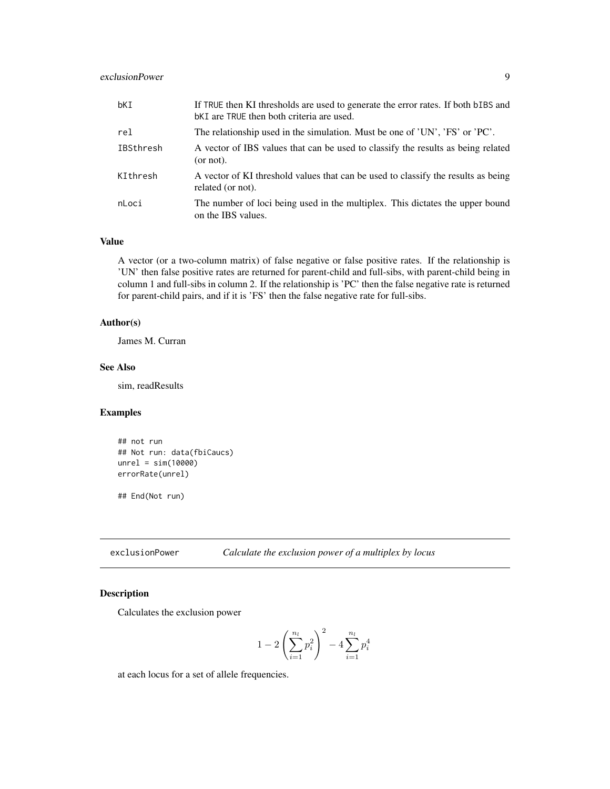#### <span id="page-8-0"></span>exclusionPower 9

| bKI       | If TRUE then KI thresholds are used to generate the error rates. If both bIBS and<br><b>bKI</b> are TRUE then both criteria are used. |
|-----------|---------------------------------------------------------------------------------------------------------------------------------------|
| rel       | The relationship used in the simulation. Must be one of 'UN', 'FS' or 'PC'.                                                           |
| IBSthresh | A vector of IBS values that can be used to classify the results as being related<br>(or not).                                         |
| KIthresh  | A vector of KI threshold values that can be used to classify the results as being<br>related (or not).                                |
| nLoci     | The number of loci being used in the multiplex. This dictates the upper bound<br>on the IBS values.                                   |

#### Value

A vector (or a two-column matrix) of false negative or false positive rates. If the relationship is 'UN' then false positive rates are returned for parent-child and full-sibs, with parent-child being in column 1 and full-sibs in column 2. If the relationship is 'PC' then the false negative rate is returned for parent-child pairs, and if it is 'FS' then the false negative rate for full-sibs.

#### Author(s)

James M. Curran

#### See Also

sim, readResults

#### Examples

```
## not run
## Not run: data(fbiCaucs)
unrel = sim(10000)
errorRate(unrel)
```
## End(Not run)

exclusionPower *Calculate the exclusion power of a multiplex by locus*

#### Description

Calculates the exclusion power

$$
1 - 2\left(\sum_{i=1}^{n_l} p_i^2\right)^2 - 4\sum_{i=1}^{n_l} p_i^4
$$

at each locus for a set of allele frequencies.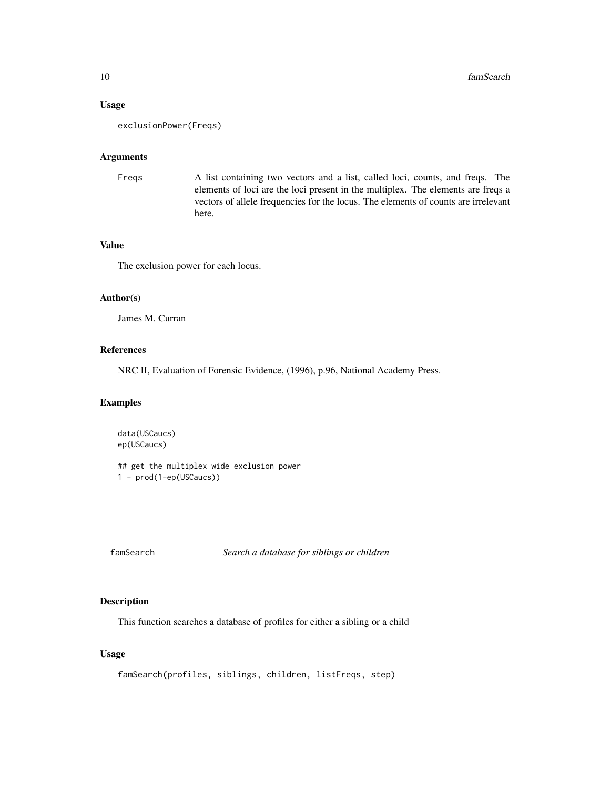#### Usage

```
exclusionPower(Freqs)
```
#### Arguments

```
Freqs A list containing two vectors and a list, called loci, counts, and freqs. The
                  elements of loci are the loci present in the multiplex. The elements are freqs a
                  vectors of allele frequencies for the locus. The elements of counts are irrelevant
                  here.
```
#### Value

The exclusion power for each locus.

#### Author(s)

James M. Curran

#### References

NRC II, Evaluation of Forensic Evidence, (1996), p.96, National Academy Press.

#### Examples

```
data(USCaucs)
ep(USCaucs)
```
## get the multiplex wide exclusion power 1 - prod(1-ep(USCaucs))

```
famSearch Search a database for siblings or children
```
#### Description

This function searches a database of profiles for either a sibling or a child

#### Usage

famSearch(profiles, siblings, children, listFreqs, step)

<span id="page-9-0"></span>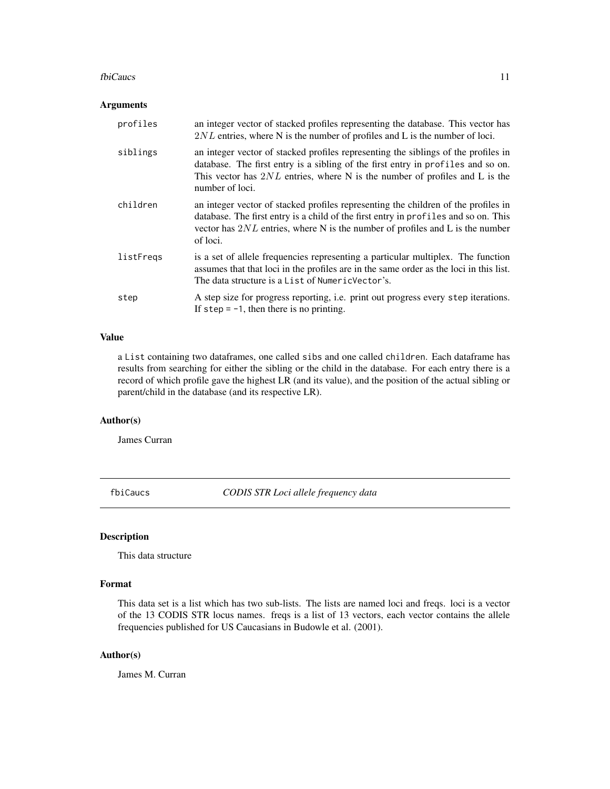#### <span id="page-10-0"></span>fbiCaucs 11

#### Arguments

| profiles  | an integer vector of stacked profiles representing the database. This vector has<br>$2NL$ entries, where N is the number of profiles and L is the number of loci.                                                                                                          |
|-----------|----------------------------------------------------------------------------------------------------------------------------------------------------------------------------------------------------------------------------------------------------------------------------|
| siblings  | an integer vector of stacked profiles representing the siblings of the profiles in<br>database. The first entry is a sibling of the first entry in profiles and so on.<br>This vector has $2NL$ entries, where N is the number of profiles and L is the<br>number of loci. |
| children  | an integer vector of stacked profiles representing the children of the profiles in<br>database. The first entry is a child of the first entry in profiles and so on. This<br>vector has $2NL$ entries, where N is the number of profiles and L is the number<br>of loci.   |
| listFreqs | is a set of allele frequencies representing a particular multiplex. The function<br>assumes that that loci in the profiles are in the same order as the loci in this list.<br>The data structure is a List of Numeric Vector's.                                            |
| step      | A step size for progress reporting, i.e. print out progress every step iterations.<br>If $step = -1$ , then there is no printing.                                                                                                                                          |

#### Value

a List containing two dataframes, one called sibs and one called children. Each dataframe has results from searching for either the sibling or the child in the database. For each entry there is a record of which profile gave the highest LR (and its value), and the position of the actual sibling or parent/child in the database (and its respective LR).

#### Author(s)

James Curran

fbiCaucs *CODIS STR Loci allele frequency data*

#### Description

This data structure

#### Format

This data set is a list which has two sub-lists. The lists are named loci and freqs. loci is a vector of the 13 CODIS STR locus names. freqs is a list of 13 vectors, each vector contains the allele frequencies published for US Caucasians in Budowle et al. (2001).

#### Author(s)

James M. Curran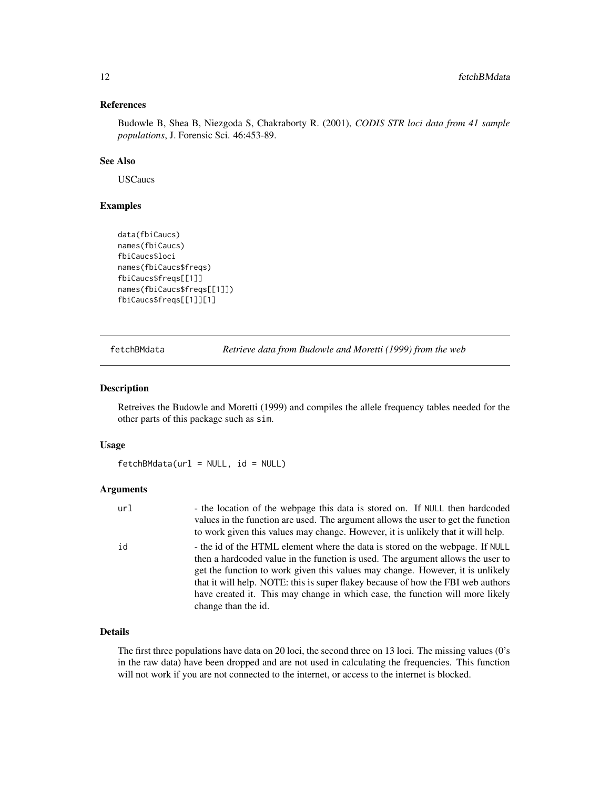#### <span id="page-11-0"></span>References

Budowle B, Shea B, Niezgoda S, Chakraborty R. (2001), *CODIS STR loci data from 41 sample populations*, J. Forensic Sci. 46:453-89.

#### See Also

USCaucs

#### Examples

```
data(fbiCaucs)
names(fbiCaucs)
fbiCaucs$loci
names(fbiCaucs$freqs)
fbiCaucs$freqs[[1]]
names(fbiCaucs$freqs[[1]])
fbiCaucs$freqs[[1]][1]
```
fetchBMdata *Retrieve data from Budowle and Moretti (1999) from the web*

#### Description

Retreives the Budowle and Moretti (1999) and compiles the allele frequency tables needed for the other parts of this package such as sim.

#### Usage

 $fetchBMdata(url = NULL, id = NULL)$ 

#### Arguments

| url | - the location of the webpage this data is stored on. If NULL then hardcoded      |
|-----|-----------------------------------------------------------------------------------|
|     | values in the function are used. The argument allows the user to get the function |
|     | to work given this values may change. However, it is unlikely that it will help.  |
| id  | - the id of the HTML element where the data is stored on the webpage. If NULL     |
|     | then a hardcoded value in the function is used. The argument allows the user to   |
|     | get the function to work given this values may change. However, it is unlikely    |
|     | that it will help. NOTE: this is super flakey because of how the FBI web authors  |
|     | have created it. This may change in which case, the function will more likely     |
|     | change than the id.                                                               |

#### Details

The first three populations have data on 20 loci, the second three on 13 loci. The missing values (0's in the raw data) have been dropped and are not used in calculating the frequencies. This function will not work if you are not connected to the internet, or access to the internet is blocked.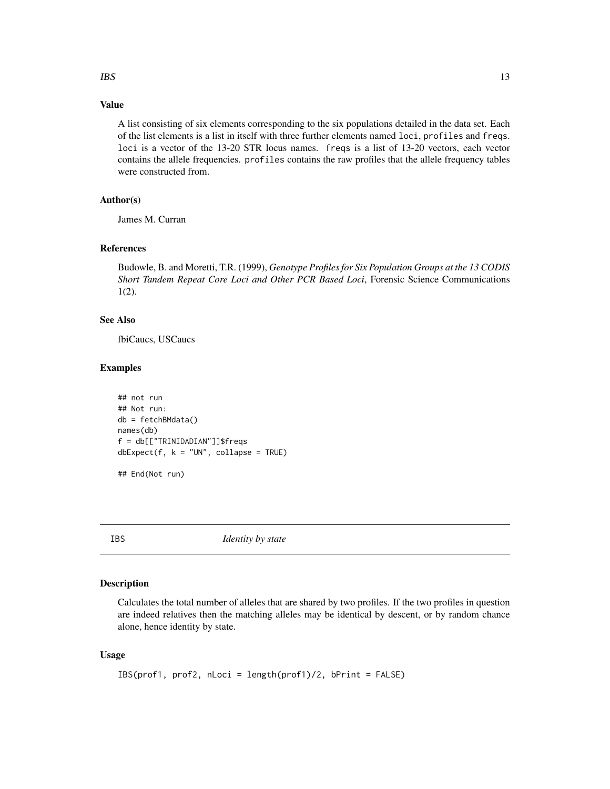#### <span id="page-12-0"></span> $IBS$  13

#### Value

A list consisting of six elements corresponding to the six populations detailed in the data set. Each of the list elements is a list in itself with three further elements named loci, profiles and freqs. loci is a vector of the 13-20 STR locus names. freqs is a list of 13-20 vectors, each vector contains the allele frequencies. profiles contains the raw profiles that the allele frequency tables were constructed from.

#### Author(s)

James M. Curran

#### References

Budowle, B. and Moretti, T.R. (1999), *Genotype Profiles for Six Population Groups at the 13 CODIS Short Tandem Repeat Core Loci and Other PCR Based Loci*, Forensic Science Communications 1(2).

#### See Also

fbiCaucs, USCaucs

#### Examples

```
## not run
## Not run:
db = fetchBMdata()
names(db)
f = db[["TRINIDADIAN"]]$freqs
dbExpected(f, k = "UN", collapse = TRUE)## End(Not run)
```
IBS *Identity by state*

#### Description

Calculates the total number of alleles that are shared by two profiles. If the two profiles in question are indeed relatives then the matching alleles may be identical by descent, or by random chance alone, hence identity by state.

#### Usage

```
IBS(prof1, prof2, nLoci = length(prof1)/2, bPrint = FALSE)
```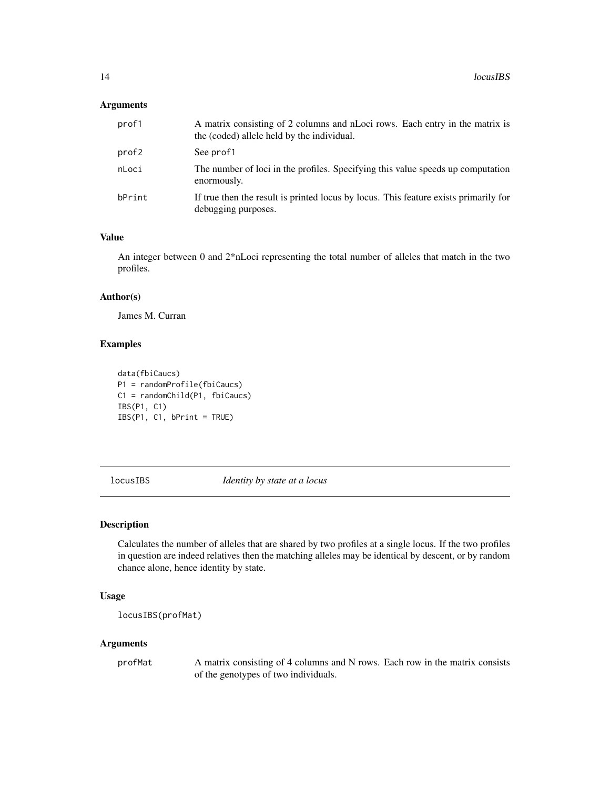#### <span id="page-13-0"></span>Arguments

| prof1  | A matrix consisting of 2 columns and nLoci rows. Each entry in the matrix is<br>the (coded) allele held by the individual. |
|--------|----------------------------------------------------------------------------------------------------------------------------|
| prof2  | See prof1                                                                                                                  |
| nLoci  | The number of loci in the profiles. Specifying this value speeds up computation<br>enormously.                             |
| bPrint | If true then the result is printed locus by locus. This feature exists primarily for<br>debugging purposes.                |

#### Value

An integer between 0 and 2\*nLoci representing the total number of alleles that match in the two profiles.

#### Author(s)

James M. Curran

#### Examples

```
data(fbiCaucs)
P1 = randomProfile(fbiCaucs)
C1 = randomChild(P1, fbiCaucs)
IBS(P1, C1)
IBS(P1, C1, bPrint = TRUE)
```
locusIBS *Identity by state at a locus*

#### Description

Calculates the number of alleles that are shared by two profiles at a single locus. If the two profiles in question are indeed relatives then the matching alleles may be identical by descent, or by random chance alone, hence identity by state.

#### Usage

```
locusIBS(profMat)
```
#### Arguments

profMat A matrix consisting of 4 columns and N rows. Each row in the matrix consists of the genotypes of two individuals.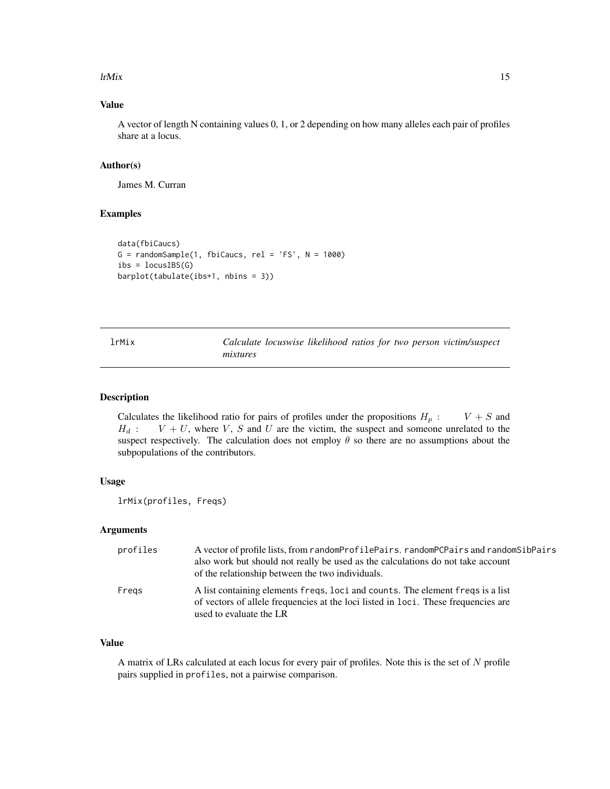#### <span id="page-14-0"></span> $\mu$  ltMix 15

#### Value

A vector of length N containing values 0, 1, or 2 depending on how many alleles each pair of profiles share at a locus.

#### Author(s)

James M. Curran

#### Examples

```
data(fbiCaucs)
G = \text{randomSample}(1, \text{fb}(\text{Caucs}, \text{rel} = \text{'FS}', \text{N} = 1000)ibs = locusIBS(G)barplot(tabulate(ibs+1, nbins = 3))
```

| lrMix | Calculate locuswise likelihood ratios for two person victim/suspect |
|-------|---------------------------------------------------------------------|
|       | mixtures                                                            |

#### Description

Calculates the likelihood ratio for pairs of profiles under the propositions  $H_p$  :  $V + S$  and  $H_d$ :  $V + U$ , where V, S and U are the victim, the suspect and someone unrelated to the suspect respectively. The calculation does not employ  $\theta$  so there are no assumptions about the subpopulations of the contributors.

#### Usage

lrMix(profiles, Freqs)

#### Arguments

| profiles | A vector of profile lists, from randomProfilePairs. randomPCPairs and randomSibPairs<br>also work but should not really be used as the calculations do not take account<br>of the relationship between the two individuals. |
|----------|-----------------------------------------------------------------------------------------------------------------------------------------------------------------------------------------------------------------------------|
| Fregs    | A list containing elements freqs, loci and counts. The element freqs is a list<br>of vectors of allele frequencies at the loci listed in loci. These frequencies are<br>used to evaluate the LR                             |

#### Value

A matrix of LRs calculated at each locus for every pair of profiles. Note this is the set of N profile pairs supplied in profiles, not a pairwise comparison.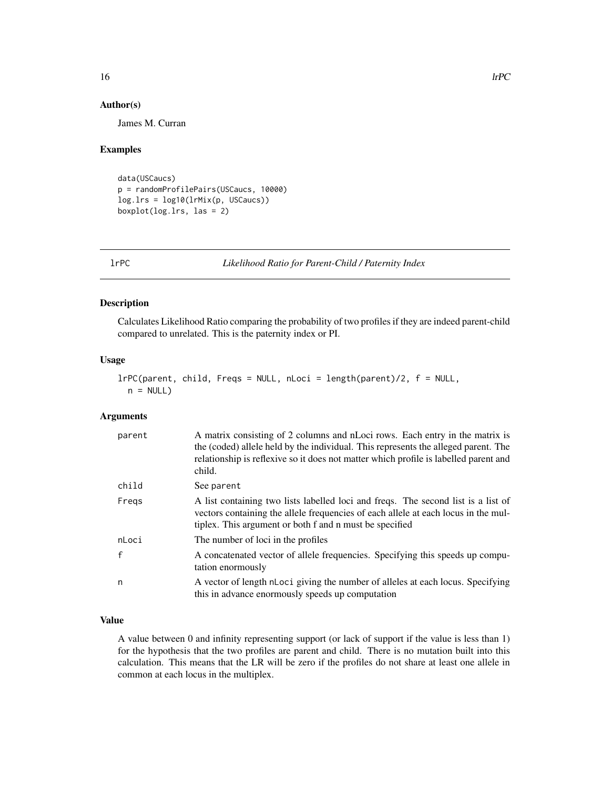#### Author(s)

James M. Curran

#### Examples

```
data(USCaucs)
p = randomProfilePairs(USCaucs, 10000)
log.lrs = log10(lrMix(p, USCaucs))
boxplot(log.lrs, las = 2)
```
lrPC *Likelihood Ratio for Parent-Child / Paternity Index*

#### Description

Calculates Likelihood Ratio comparing the probability of two profiles if they are indeed parent-child compared to unrelated. This is the paternity index or PI.

#### Usage

```
lrPC(parent, child, Freqs = NULL, nLoci = length(parent)/2, f = NULL,
 n = NULL
```
#### Arguments

| parent | A matrix consisting of 2 columns and nLoci rows. Each entry in the matrix is<br>the (coded) allele held by the individual. This represents the alleged parent. The<br>relationship is reflexive so it does not matter which profile is labelled parent and<br>child. |
|--------|----------------------------------------------------------------------------------------------------------------------------------------------------------------------------------------------------------------------------------------------------------------------|
| child  | See parent                                                                                                                                                                                                                                                           |
| Fregs  | A list containing two lists labelled loci and freqs. The second list is a list of<br>vectors containing the allele frequencies of each allele at each locus in the mul-<br>tiplex. This argument or both f and n must be specified                                   |
| nLoci  | The number of loci in the profiles                                                                                                                                                                                                                                   |
| f      | A concatenated vector of allele frequencies. Specifying this speeds up compu-<br>tation enormously                                                                                                                                                                   |
| n      | A vector of length nLoci giving the number of alleles at each locus. Specifying<br>this in advance enormously speeds up computation                                                                                                                                  |

#### Value

A value between 0 and infinity representing support (or lack of support if the value is less than 1) for the hypothesis that the two profiles are parent and child. There is no mutation built into this calculation. This means that the LR will be zero if the profiles do not share at least one allele in common at each locus in the multiplex.

<span id="page-15-0"></span>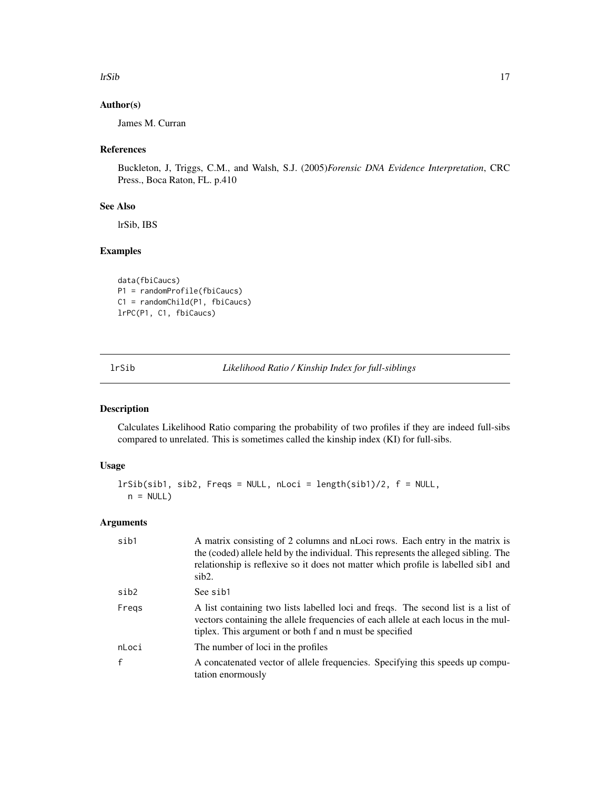#### <span id="page-16-0"></span>lrSib 17

#### Author(s)

James M. Curran

#### References

Buckleton, J, Triggs, C.M., and Walsh, S.J. (2005)*Forensic DNA Evidence Interpretation*, CRC Press., Boca Raton, FL. p.410

#### See Also

lrSib, IBS

#### Examples

```
data(fbiCaucs)
P1 = randomProfile(fbiCaucs)
C1 = randomChild(P1, fbiCaucs)
lrPC(P1, C1, fbiCaucs)
```
lrSib *Likelihood Ratio / Kinship Index for full-siblings*

#### Description

Calculates Likelihood Ratio comparing the probability of two profiles if they are indeed full-sibs compared to unrelated. This is sometimes called the kinship index (KI) for full-sibs.

#### Usage

```
lrSib(sib1, sib2, Freqs = NULL, nLoci = length(sib1)/2, f = NULL,
 n = NULL
```
#### Arguments

| sib1         | A matrix consisting of 2 columns and nLoci rows. Each entry in the matrix is<br>the (coded) allele held by the individual. This represents the alleged sibling. The<br>relationship is reflexive so it does not matter which profile is labelled sib1 and<br>sib2. |
|--------------|--------------------------------------------------------------------------------------------------------------------------------------------------------------------------------------------------------------------------------------------------------------------|
| sib2         | See sib1                                                                                                                                                                                                                                                           |
| Fregs        | A list containing two lists labelled loci and freqs. The second list is a list of<br>vectors containing the allele frequencies of each allele at each locus in the mul-<br>tiplex. This argument or both f and n must be specified                                 |
| nLoci        | The number of loci in the profiles                                                                                                                                                                                                                                 |
| $\mathbf{f}$ | A concatenated vector of allele frequencies. Specifying this speeds up compu-<br>tation enormously                                                                                                                                                                 |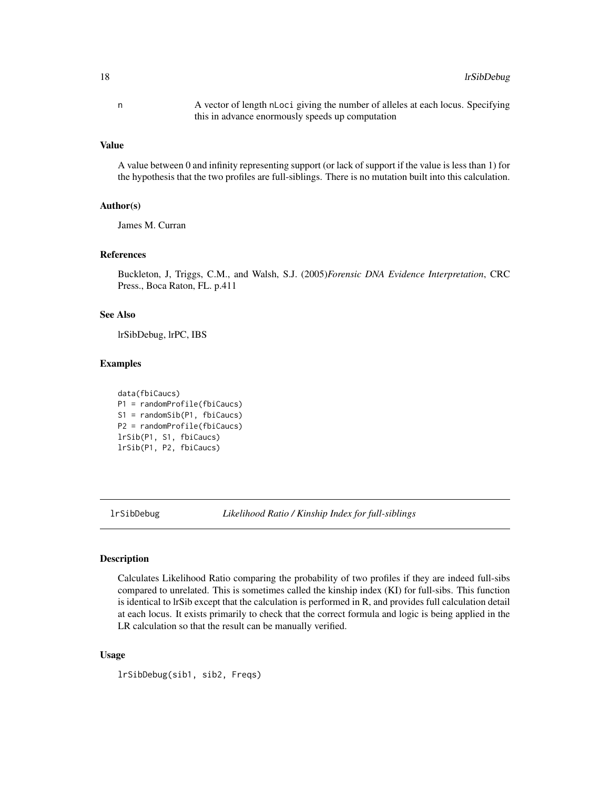<span id="page-17-0"></span>n A vector of length nLoci giving the number of alleles at each locus. Specifying this in advance enormously speeds up computation

#### Value

A value between 0 and infinity representing support (or lack of support if the value is less than 1) for the hypothesis that the two profiles are full-siblings. There is no mutation built into this calculation.

#### Author(s)

James M. Curran

#### References

Buckleton, J, Triggs, C.M., and Walsh, S.J. (2005)*Forensic DNA Evidence Interpretation*, CRC Press., Boca Raton, FL. p.411

#### See Also

lrSibDebug, lrPC, IBS

#### Examples

```
data(fbiCaucs)
P1 = randomProfile(fbiCaucs)
S1 = randomSib(P1, fbiCaucs)
P2 = randomProfile(fbiCaucs)
lrSib(P1, S1, fbiCaucs)
lrSib(P1, P2, fbiCaucs)
```
lrSibDebug *Likelihood Ratio / Kinship Index for full-siblings*

#### Description

Calculates Likelihood Ratio comparing the probability of two profiles if they are indeed full-sibs compared to unrelated. This is sometimes called the kinship index (KI) for full-sibs. This function is identical to lrSib except that the calculation is performed in R, and provides full calculation detail at each locus. It exists primarily to check that the correct formula and logic is being applied in the LR calculation so that the result can be manually verified.

#### Usage

lrSibDebug(sib1, sib2, Freqs)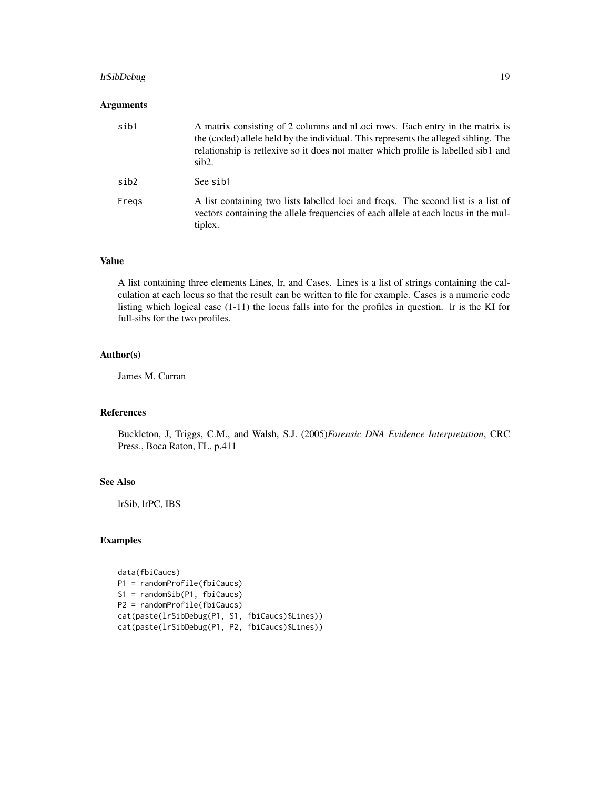#### lrSibDebug 19

#### Arguments

| sib1  | A matrix consisting of 2 columns and nLoci rows. Each entry in the matrix is<br>the (coded) allele held by the individual. This represents the alleged sibling. The<br>relationship is reflexive so it does not matter which profile is labelled sib1 and<br>sib2. |
|-------|--------------------------------------------------------------------------------------------------------------------------------------------------------------------------------------------------------------------------------------------------------------------|
| sib2  | See sib1                                                                                                                                                                                                                                                           |
| Freas | A list containing two lists labelled loci and freqs. The second list is a list of<br>vectors containing the allele frequencies of each allele at each locus in the mul-<br>tiplex.                                                                                 |

#### Value

A list containing three elements Lines, lr, and Cases. Lines is a list of strings containing the calculation at each locus so that the result can be written to file for example. Cases is a numeric code listing which logical case (1-11) the locus falls into for the profiles in question. lr is the KI for full-sibs for the two profiles.

#### Author(s)

James M. Curran

#### References

Buckleton, J, Triggs, C.M., and Walsh, S.J. (2005)*Forensic DNA Evidence Interpretation*, CRC Press., Boca Raton, FL. p.411

#### See Also

lrSib, lrPC, IBS

#### Examples

```
data(fbiCaucs)
P1 = randomProfile(fbiCaucs)
S1 = randomSib(P1, fbiCaucs)
P2 = randomProfile(fbiCaucs)
cat(paste(lrSibDebug(P1, S1, fbiCaucs)$Lines))
cat(paste(lrSibDebug(P1, P2, fbiCaucs)$Lines))
```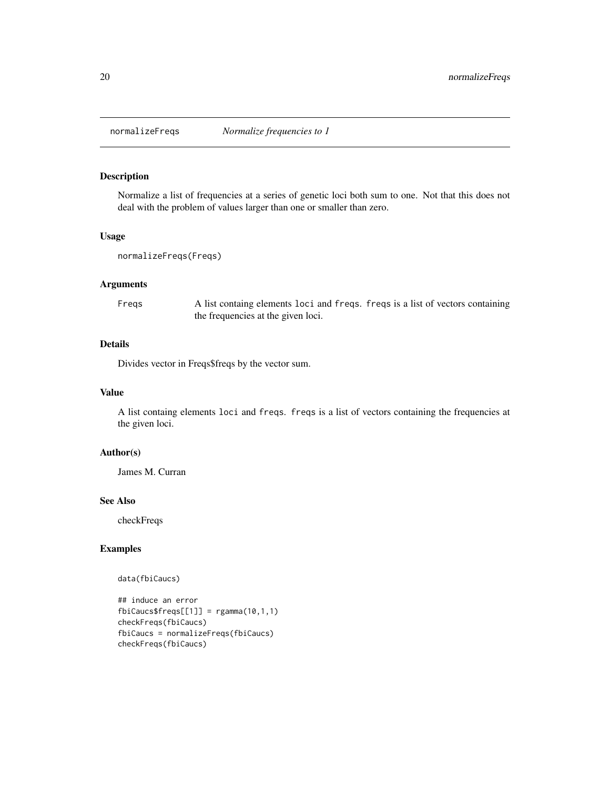<span id="page-19-0"></span>

Normalize a list of frequencies at a series of genetic loci both sum to one. Not that this does not deal with the problem of values larger than one or smaller than zero.

#### Usage

```
normalizeFreqs(Freqs)
```
#### Arguments

Freqs A list containg elements loci and freqs. freqs is a list of vectors containing the frequencies at the given loci.

#### Details

Divides vector in Freqs\$freqs by the vector sum.

#### Value

A list containg elements loci and freqs. freqs is a list of vectors containing the frequencies at the given loci.

#### Author(s)

James M. Curran

#### See Also

checkFreqs

#### Examples

#### data(fbiCaucs)

## induce an error  $fbicaussfreqs[[1]] = rgamma(10,1,1)$ checkFreqs(fbiCaucs) fbiCaucs = normalizeFreqs(fbiCaucs) checkFreqs(fbiCaucs)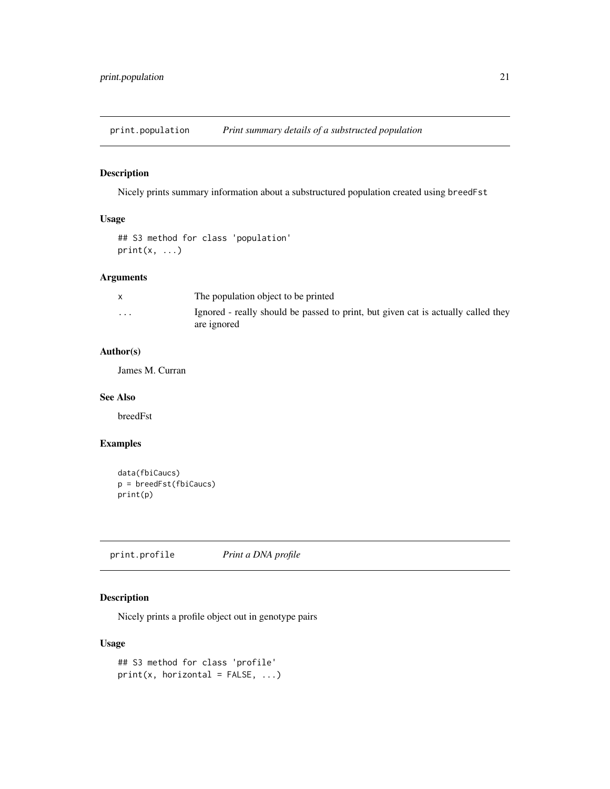<span id="page-20-0"></span>print.population *Print summary details of a substructed population*

#### Description

Nicely prints summary information about a substructured population created using breedFst

#### Usage

```
## S3 method for class 'population'
print(x, \ldots)
```
#### Arguments

|                         | The population object to be printed                                                              |
|-------------------------|--------------------------------------------------------------------------------------------------|
| $\cdot$ $\cdot$ $\cdot$ | Ignored - really should be passed to print, but given cat is actually called they<br>are ignored |

#### Author(s)

James M. Curran

#### See Also

breedFst

#### Examples

```
data(fbiCaucs)
p = breedFst(fbiCaucs)
print(p)
```
print.profile *Print a DNA profile*

### Description

Nicely prints a profile object out in genotype pairs

#### Usage

```
## S3 method for class 'profile'
print(x, horizontal = FALSE, ...)
```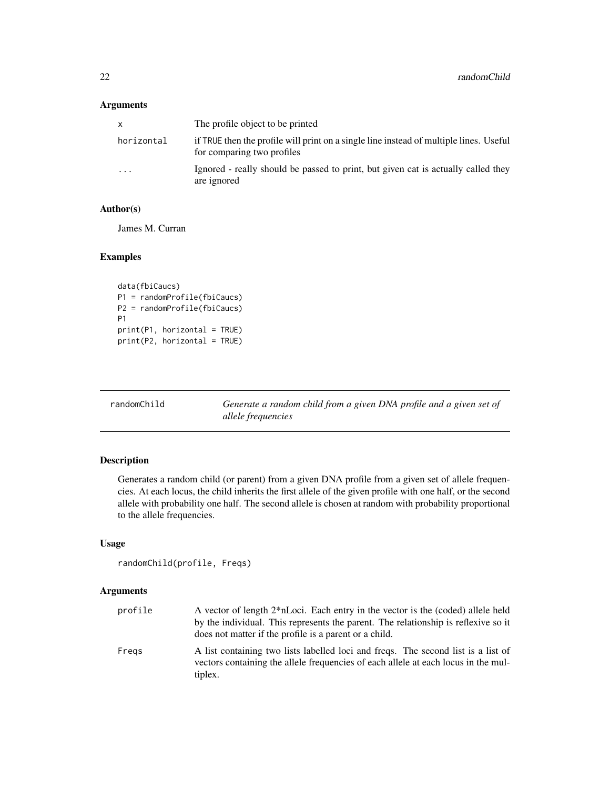#### <span id="page-21-0"></span>Arguments

| X          | The profile object to be printed                                                                                     |
|------------|----------------------------------------------------------------------------------------------------------------------|
| horizontal | if TRUE then the profile will print on a single line instead of multiple lines. Useful<br>for comparing two profiles |
| $\cdots$   | Ignored - really should be passed to print, but given cat is actually called they<br>are ignored                     |

#### Author(s)

James M. Curran

#### Examples

```
data(fbiCaucs)
P1 = randomProfile(fbiCaucs)
P2 = randomProfile(fbiCaucs)
P1
print(P1, horizontal = TRUE)
print(P2, horizontal = TRUE)
```
randomChild *Generate a random child from a given DNA profile and a given set of allele frequencies*

#### Description

Generates a random child (or parent) from a given DNA profile from a given set of allele frequencies. At each locus, the child inherits the first allele of the given profile with one half, or the second allele with probability one half. The second allele is chosen at random with probability proportional to the allele frequencies.

#### Usage

```
randomChild(profile, Freqs)
```
#### Arguments

| profile | A vector of length 2*nLoci. Each entry in the vector is the (coded) allele held<br>by the individual. This represents the parent. The relationship is reflexive so it<br>does not matter if the profile is a parent or a child. |
|---------|---------------------------------------------------------------------------------------------------------------------------------------------------------------------------------------------------------------------------------|
| Fregs   | A list containing two lists labelled loci and freqs. The second list is a list of<br>vectors containing the allele frequencies of each allele at each locus in the mul-<br>tiplex.                                              |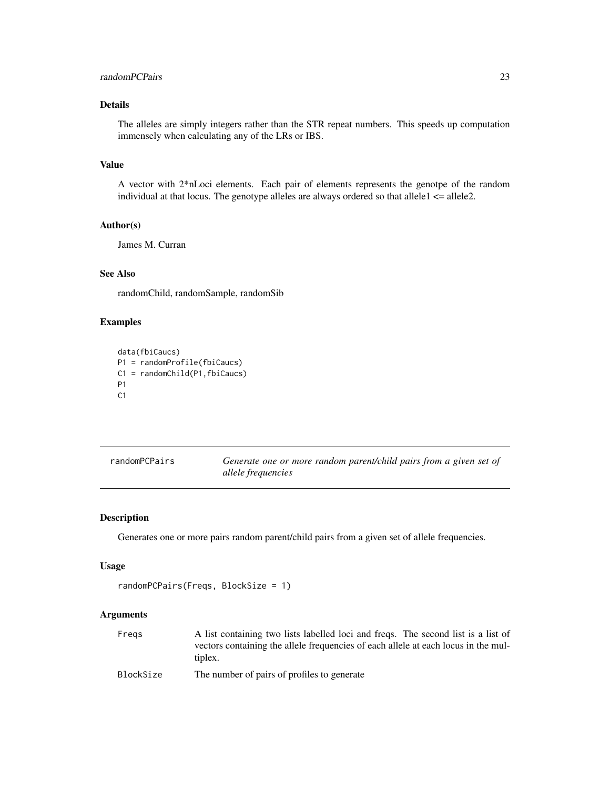#### <span id="page-22-0"></span>randomPCPairs 23

#### Details

The alleles are simply integers rather than the STR repeat numbers. This speeds up computation immensely when calculating any of the LRs or IBS.

#### Value

A vector with 2\*nLoci elements. Each pair of elements represents the genotpe of the random individual at that locus. The genotype alleles are always ordered so that allele1 <= allele2.

#### Author(s)

James M. Curran

#### See Also

randomChild, randomSample, randomSib

#### Examples

```
data(fbiCaucs)
P1 = randomProfile(fbiCaucs)
C1 = randomChild(P1,fbiCaucs)
P1
C1
```

| randomPCPairs | Generate one or more random parent/child pairs from a given set of |
|---------------|--------------------------------------------------------------------|
|               | allele frequencies                                                 |

#### Description

Generates one or more pairs random parent/child pairs from a given set of allele frequencies.

#### Usage

```
randomPCPairs(Freqs, BlockSize = 1)
```
#### Arguments

| Freas     | A list containing two lists labelled loci and freqs. The second list is a list of  |
|-----------|------------------------------------------------------------------------------------|
|           | vectors containing the allele frequencies of each allele at each locus in the mul- |
|           | tiplex.                                                                            |
| BlockSize | The number of pairs of profiles to generate                                        |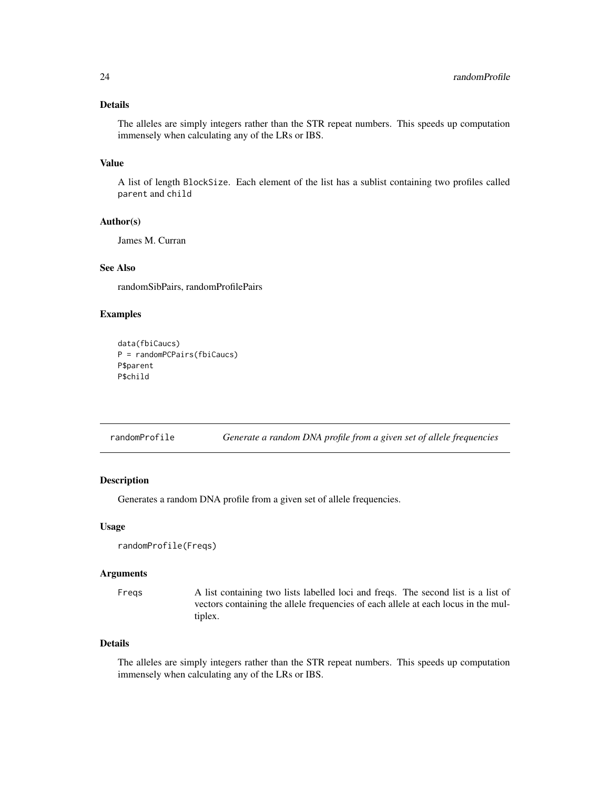#### <span id="page-23-0"></span>Details

The alleles are simply integers rather than the STR repeat numbers. This speeds up computation immensely when calculating any of the LRs or IBS.

#### Value

A list of length BlockSize. Each element of the list has a sublist containing two profiles called parent and child

#### Author(s)

James M. Curran

#### See Also

randomSibPairs, randomProfilePairs

#### Examples

```
data(fbiCaucs)
P = randomPCPairs(fbiCaucs)
P$parent
P$child
```
randomProfile *Generate a random DNA profile from a given set of allele frequencies*

#### Description

Generates a random DNA profile from a given set of allele frequencies.

#### Usage

```
randomProfile(Freqs)
```
#### Arguments

Freqs A list containing two lists labelled loci and freqs. The second list is a list of vectors containing the allele frequencies of each allele at each locus in the multiplex.

#### Details

The alleles are simply integers rather than the STR repeat numbers. This speeds up computation immensely when calculating any of the LRs or IBS.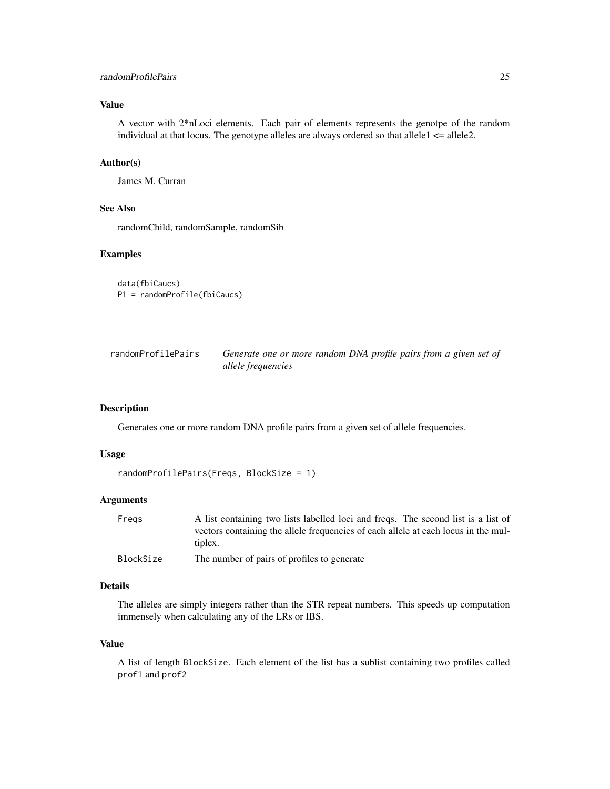#### <span id="page-24-0"></span>randomProfilePairs 25

#### Value

A vector with 2\*nLoci elements. Each pair of elements represents the genotpe of the random individual at that locus. The genotype alleles are always ordered so that allele $1 \le$  allele $2$ .

#### Author(s)

James M. Curran

#### See Also

randomChild, randomSample, randomSib

#### Examples

```
data(fbiCaucs)
P1 = randomProfile(fbiCaucs)
```
randomProfilePairs *Generate one or more random DNA profile pairs from a given set of allele frequencies*

#### Description

Generates one or more random DNA profile pairs from a given set of allele frequencies.

#### Usage

```
randomProfilePairs(Freqs, BlockSize = 1)
```
#### Arguments

| Freas     | A list containing two lists labelled loci and freqs. The second list is a list of  |
|-----------|------------------------------------------------------------------------------------|
|           | vectors containing the allele frequencies of each allele at each locus in the mul- |
|           | tiplex.                                                                            |
| BlockSize | The number of pairs of profiles to generate                                        |

#### Details

The alleles are simply integers rather than the STR repeat numbers. This speeds up computation immensely when calculating any of the LRs or IBS.

#### Value

A list of length BlockSize. Each element of the list has a sublist containing two profiles called prof1 and prof2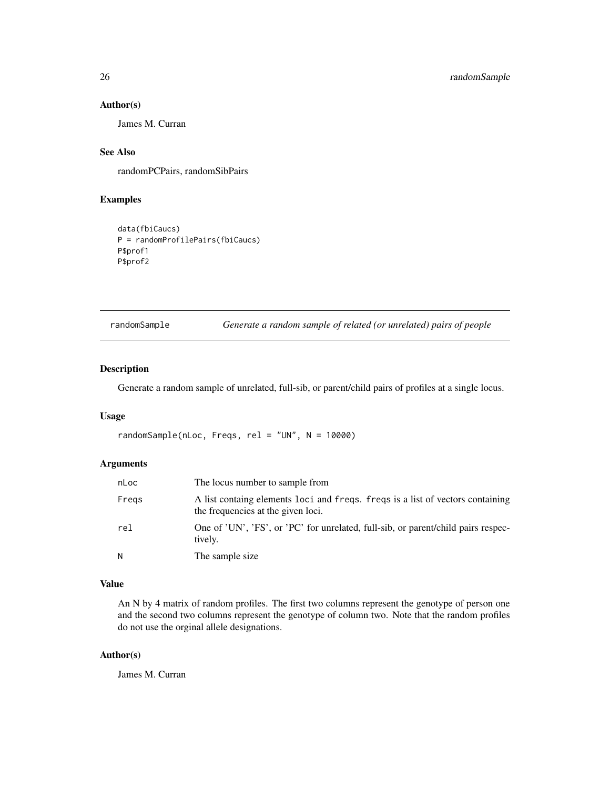#### Author(s)

James M. Curran

#### See Also

randomPCPairs, randomSibPairs

#### Examples

```
data(fbiCaucs)
P = randomProfilePairs(fbiCaucs)
P$prof1
P$prof2
```
randomSample *Generate a random sample of related (or unrelated) pairs of people*

#### Description

Generate a random sample of unrelated, full-sib, or parent/child pairs of profiles at a single locus.

#### Usage

```
randomSample(nLoc, Freqs, rel = "UN", N = 10000)
```
#### Arguments

| nLoc  | The locus number to sample from                                                                                      |
|-------|----------------------------------------------------------------------------------------------------------------------|
| Fregs | A list containg elements loci and freqs. freqs is a list of vectors containing<br>the frequencies at the given loci. |
| rel   | One of 'UN', 'FS', or 'PC' for unrelated, full-sib, or parent/child pairs respec-<br>tively.                         |
| N     | The sample size.                                                                                                     |

#### Value

An N by 4 matrix of random profiles. The first two columns represent the genotype of person one and the second two columns represent the genotype of column two. Note that the random profiles do not use the orginal allele designations.

#### Author(s)

James M. Curran

<span id="page-25-0"></span>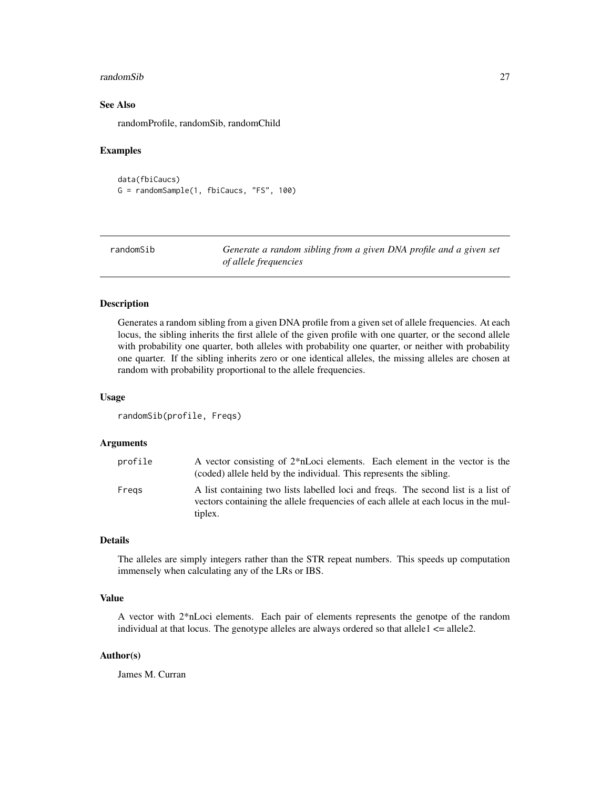#### <span id="page-26-0"></span>randomSib 27

#### See Also

randomProfile, randomSib, randomChild

#### Examples

data(fbiCaucs) G = randomSample(1, fbiCaucs, "FS", 100)

| randomSib | Generate a random sibling from a given DNA profile and a given set |
|-----------|--------------------------------------------------------------------|
|           | of allele frequencies                                              |

#### Description

Generates a random sibling from a given DNA profile from a given set of allele frequencies. At each locus, the sibling inherits the first allele of the given profile with one quarter, or the second allele with probability one quarter, both alleles with probability one quarter, or neither with probability one quarter. If the sibling inherits zero or one identical alleles, the missing alleles are chosen at random with probability proportional to the allele frequencies.

#### Usage

```
randomSib(profile, Freqs)
```
#### Arguments

| profile | A vector consisting of 2 <sup>*</sup> nLoci elements. Each element in the vector is the<br>(coded) allele held by the individual. This represents the sibling. |
|---------|----------------------------------------------------------------------------------------------------------------------------------------------------------------|
| Freas   | A list containing two lists labelled loci and freqs. The second list is a list of                                                                              |
|         | vectors containing the allele frequencies of each allele at each locus in the mul-<br>tiplex.                                                                  |

#### Details

The alleles are simply integers rather than the STR repeat numbers. This speeds up computation immensely when calculating any of the LRs or IBS.

#### Value

A vector with 2\*nLoci elements. Each pair of elements represents the genotpe of the random individual at that locus. The genotype alleles are always ordered so that allele $1 \le$  allele $2$ .

#### Author(s)

James M. Curran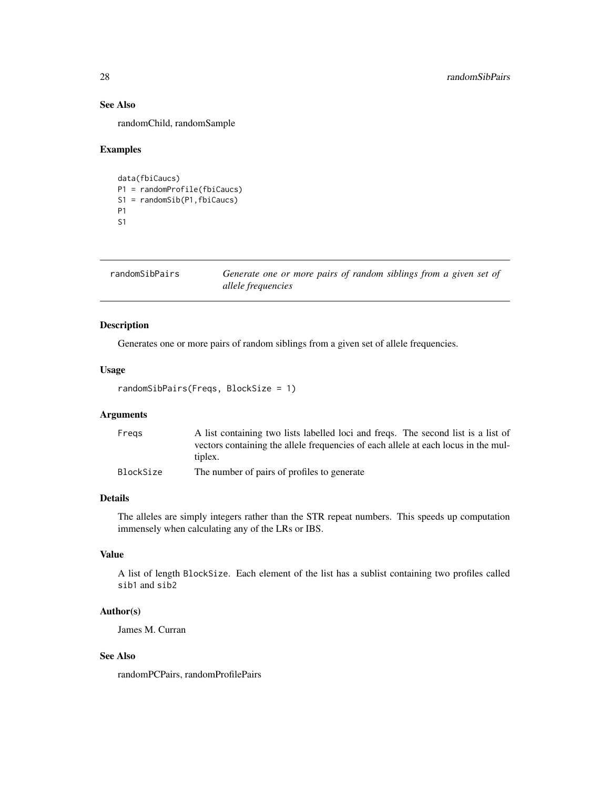#### See Also

randomChild, randomSample

#### Examples

```
data(fbiCaucs)
P1 = randomProfile(fbiCaucs)
S1 = randomSib(P1,fbiCaucs)
P1
S1
```
randomSibPairs *Generate one or more pairs of random siblings from a given set of allele frequencies*

#### Description

Generates one or more pairs of random siblings from a given set of allele frequencies.

#### Usage

```
randomSibPairs(Freqs, BlockSize = 1)
```
#### Arguments

| Freas     | A list containing two lists labelled loci and freqs. The second list is a list of  |
|-----------|------------------------------------------------------------------------------------|
|           | vectors containing the allele frequencies of each allele at each locus in the mul- |
|           | tiplex.                                                                            |
| BlockSize | The number of pairs of profiles to generate                                        |

#### Details

The alleles are simply integers rather than the STR repeat numbers. This speeds up computation immensely when calculating any of the LRs or IBS.

#### Value

A list of length BlockSize. Each element of the list has a sublist containing two profiles called sib1 and sib2

#### Author(s)

James M. Curran

#### See Also

randomPCPairs, randomProfilePairs

<span id="page-27-0"></span>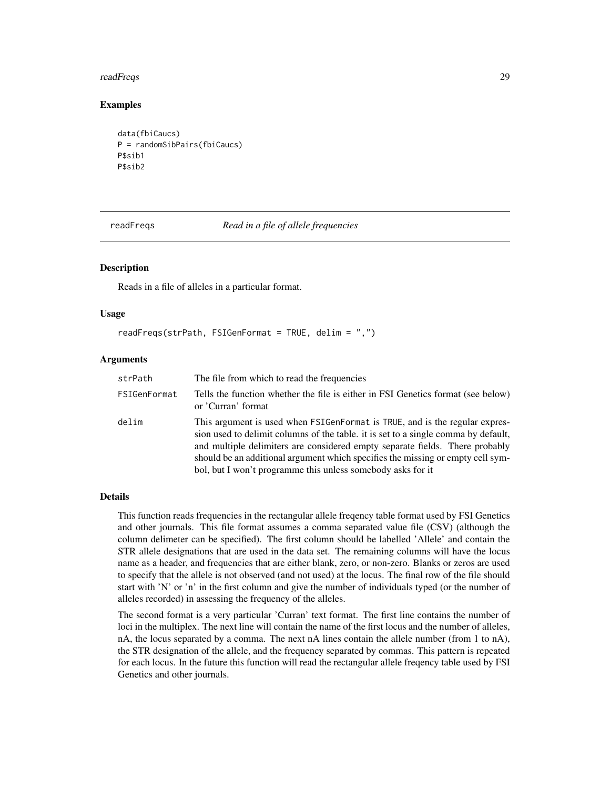#### <span id="page-28-0"></span>readFreqs 29

#### Examples

```
data(fbiCaucs)
P = randomSibPairs(fbiCaucs)
P$sib1
P$sib2
```
<span id="page-28-1"></span>

readFreqs *Read in a file of allele frequencies*

#### Description

Reads in a file of alleles in a particular format.

#### Usage

```
readFreqs(strPath, FSIGenFormat = TRUE, delim = ",")
```
#### Arguments

| strPath      | The file from which to read the frequencies                                                                                                                                                                                                                                                                                                                                                         |
|--------------|-----------------------------------------------------------------------------------------------------------------------------------------------------------------------------------------------------------------------------------------------------------------------------------------------------------------------------------------------------------------------------------------------------|
| FSIGenFormat | Tells the function whether the file is either in FSI Genetics format (see below)<br>or 'Curran' format                                                                                                                                                                                                                                                                                              |
| delim        | This argument is used when FSIGenFormat is TRUE, and is the regular expres-<br>sion used to delimit columns of the table. it is set to a single comma by default,<br>and multiple delimiters are considered empty separate fields. There probably<br>should be an additional argument which specifies the missing or empty cell sym-<br>bol, but I won't programme this unless somebody asks for it |

#### Details

This function reads frequencies in the rectangular allele freqency table format used by FSI Genetics and other journals. This file format assumes a comma separated value file (CSV) (although the column delimeter can be specified). The first column should be labelled 'Allele' and contain the STR allele designations that are used in the data set. The remaining columns will have the locus name as a header, and frequencies that are either blank, zero, or non-zero. Blanks or zeros are used to specify that the allele is not observed (and not used) at the locus. The final row of the file should start with 'N' or 'n' in the first column and give the number of individuals typed (or the number of alleles recorded) in assessing the frequency of the alleles.

The second format is a very particular 'Curran' text format. The first line contains the number of loci in the multiplex. The next line will contain the name of the first locus and the number of alleles, nA, the locus separated by a comma. The next nA lines contain the allele number (from 1 to nA), the STR designation of the allele, and the frequency separated by commas. This pattern is repeated for each locus. In the future this function will read the rectangular allele freqency table used by FSI Genetics and other journals.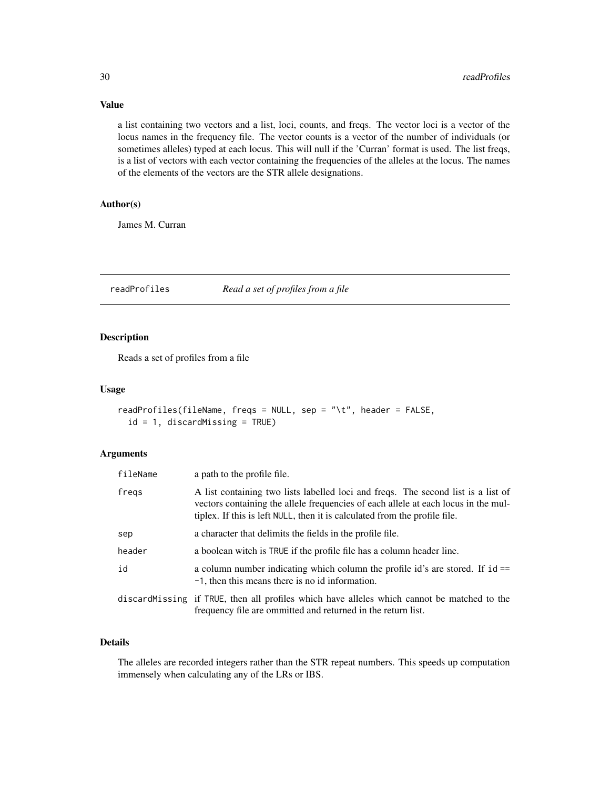<span id="page-29-0"></span>Value

a list containing two vectors and a list, loci, counts, and freqs. The vector loci is a vector of the locus names in the frequency file. The vector counts is a vector of the number of individuals (or sometimes alleles) typed at each locus. This will null if the 'Curran' format is used. The list freqs, is a list of vectors with each vector containing the frequencies of the alleles at the locus. The names of the elements of the vectors are the STR allele designations.

#### Author(s)

James M. Curran

readProfiles *Read a set of profiles from a file*

#### Description

Reads a set of profiles from a file

#### Usage

```
readProfiles(fileName, freqs = NULL, sep = "\t", header = FALSE,
 id = 1, discardMissing = TRUE)
```
#### Arguments

| fileName | a path to the profile file.                                                                                                                                                                                                                           |
|----------|-------------------------------------------------------------------------------------------------------------------------------------------------------------------------------------------------------------------------------------------------------|
| fregs    | A list containing two lists labelled loci and freqs. The second list is a list of<br>vectors containing the allele frequencies of each allele at each locus in the mul-<br>tiplex. If this is left NULL, then it is calculated from the profile file. |
| sep      | a character that delimits the fields in the profile file.                                                                                                                                                                                             |
| header   | a boolean witch is TRUE if the profile file has a column header line.                                                                                                                                                                                 |
| id       | a column number indicating which column the profile id's are stored. If $id ==$<br>-1, then this means there is no id information.                                                                                                                    |
|          | discard Missing if TRUE, then all profiles which have alleles which cannot be matched to the<br>frequency file are ommitted and returned in the return list.                                                                                          |

#### Details

The alleles are recorded integers rather than the STR repeat numbers. This speeds up computation immensely when calculating any of the LRs or IBS.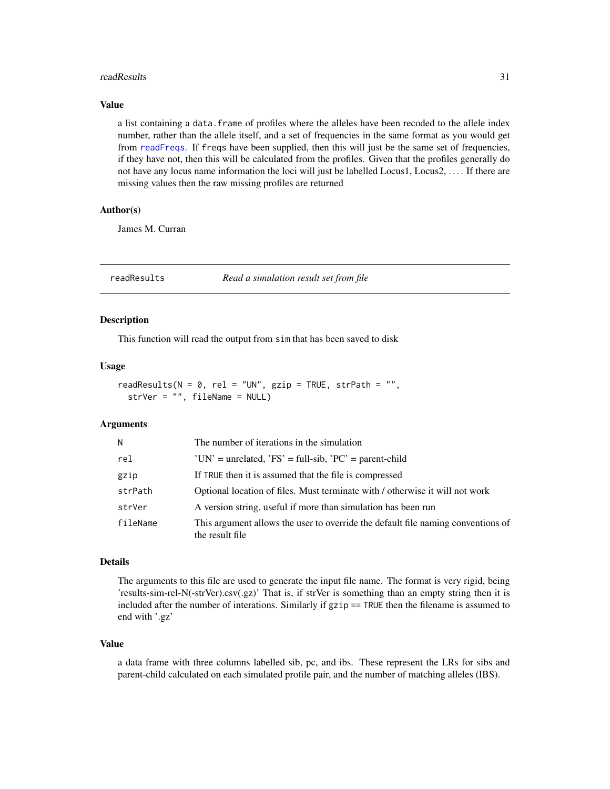#### <span id="page-30-0"></span>readResults 31

#### Value

a list containing a data. frame of profiles where the alleles have been recoded to the allele index number, rather than the allele itself, and a set of frequencies in the same format as you would get from [readFreqs](#page-28-1). If freqs have been supplied, then this will just be the same set of frequencies, if they have not, then this will be calculated from the profiles. Given that the profiles generally do not have any locus name information the loci will just be labelled Locus1, Locus2, . . . . If there are missing values then the raw missing profiles are returned

#### Author(s)

James M. Curran

readResults *Read a simulation result set from file*

#### Description

This function will read the output from sim that has been saved to disk

#### Usage

readResults( $N = 0$ , rel = "UN", gzip = TRUE, strPath = "", strVer = "", fileName = NULL)

#### Arguments

| N        | The number of iterations in the simulation                                                          |
|----------|-----------------------------------------------------------------------------------------------------|
| rel      | $'UN'$ = unrelated, $'FS'$ = full-sib, $'PC'$ = parent-child                                        |
| gzip     | If TRUE then it is assumed that the file is compressed                                              |
| strPath  | Optional location of files. Must terminate with / otherwise it will not work                        |
| strVer   | A version string, useful if more than simulation has been run                                       |
| fileName | This argument allows the user to override the default file naming conventions of<br>the result file |

#### Details

The arguments to this file are used to generate the input file name. The format is very rigid, being 'results-sim-rel-N(-strVer).csv(.gz)' That is, if strVer is something than an empty string then it is included after the number of interations. Similarly if gzip == TRUE then the filename is assumed to end with '.gz'

#### Value

a data frame with three columns labelled sib, pc, and ibs. These represent the LRs for sibs and parent-child calculated on each simulated profile pair, and the number of matching alleles (IBS).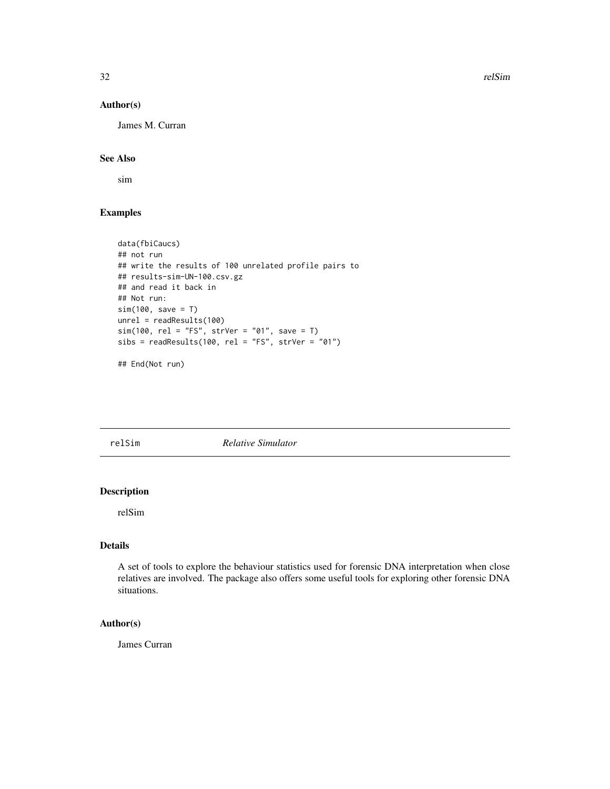32 relSim

#### Author(s)

James M. Curran

#### See Also

sim

#### Examples

```
data(fbiCaucs)
## not run
## write the results of 100 unrelated profile pairs to
## results-sim-UN-100.csv.gz
## and read it back in
## Not run:
sim(100, save = T)
unrel = readResults(100)
sim(100, rel = "FS", strVer = "01", save = T)
sibs = readResults(100, rel = "FS", strVer = "01")
```
## End(Not run)

relSim *Relative Simulator*

#### Description

relSim

#### Details

A set of tools to explore the behaviour statistics used for forensic DNA interpretation when close relatives are involved. The package also offers some useful tools for exploring other forensic DNA situations.

#### Author(s)

James Curran

<span id="page-31-0"></span>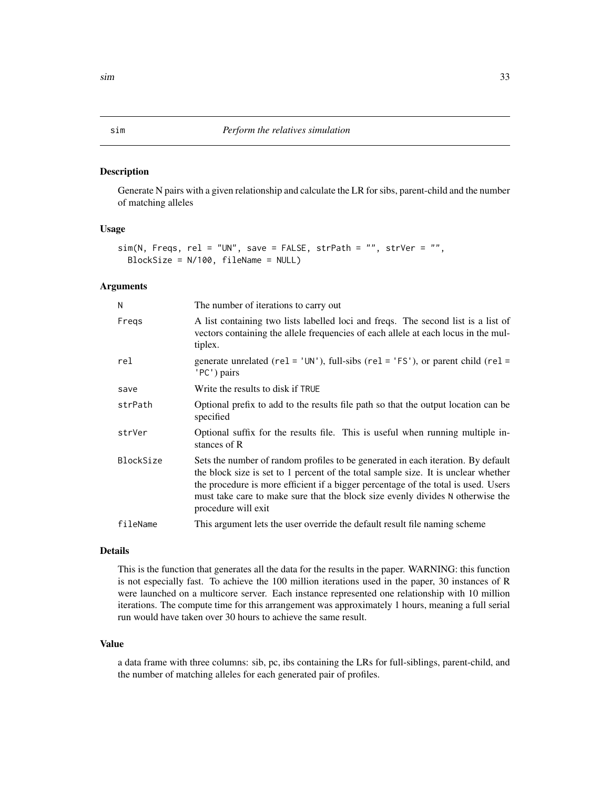<span id="page-32-0"></span>Generate N pairs with a given relationship and calculate the LR for sibs, parent-child and the number of matching alleles

#### Usage

```
sim(N, Freqs, rel = "UN", save = FALSE, strPath = "", strVer = "",
 BlockSize = N/100, fileName = NULL)
```
#### Arguments

| N         | The number of iterations to carry out                                                                                                                                                                                                                                                                                                                                 |
|-----------|-----------------------------------------------------------------------------------------------------------------------------------------------------------------------------------------------------------------------------------------------------------------------------------------------------------------------------------------------------------------------|
| Fregs     | A list containing two lists labelled loci and freqs. The second list is a list of<br>vectors containing the allele frequencies of each allele at each locus in the mul-<br>tiplex.                                                                                                                                                                                    |
| rel       | generate unrelated ( $rel = 'UN'$ ), full-sibs ( $rel = 'FS'$ ), or parent child ( $rel =$<br>'PC') pairs                                                                                                                                                                                                                                                             |
| save      | Write the results to disk if TRUE                                                                                                                                                                                                                                                                                                                                     |
| strPath   | Optional prefix to add to the results file path so that the output location can be<br>specified                                                                                                                                                                                                                                                                       |
| strVer    | Optional suffix for the results file. This is useful when running multiple in-<br>stances of R                                                                                                                                                                                                                                                                        |
| BlockSize | Sets the number of random profiles to be generated in each iteration. By default<br>the block size is set to 1 percent of the total sample size. It is unclear whether<br>the procedure is more efficient if a bigger percentage of the total is used. Users<br>must take care to make sure that the block size evenly divides N otherwise the<br>procedure will exit |
| fileName  | This argument lets the user override the default result file naming scheme                                                                                                                                                                                                                                                                                            |

#### Details

This is the function that generates all the data for the results in the paper. WARNING: this function is not especially fast. To achieve the 100 million iterations used in the paper, 30 instances of R were launched on a multicore server. Each instance represented one relationship with 10 million iterations. The compute time for this arrangement was approximately 1 hours, meaning a full serial run would have taken over 30 hours to achieve the same result.

#### Value

a data frame with three columns: sib, pc, ibs containing the LRs for full-siblings, parent-child, and the number of matching alleles for each generated pair of profiles.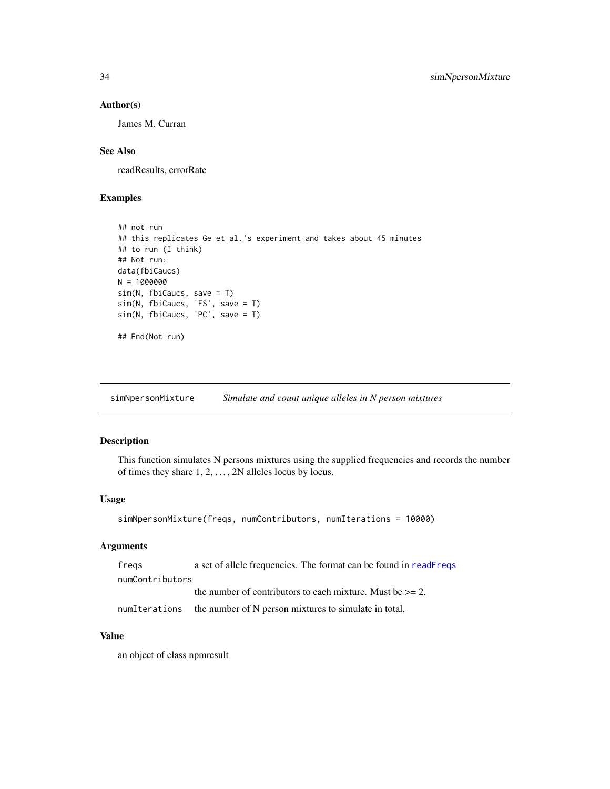#### <span id="page-33-0"></span>Author(s)

James M. Curran

#### See Also

readResults, errorRate

#### Examples

```
## not run
## this replicates Ge et al.'s experiment and takes about 45 minutes
## to run (I think)
## Not run:
data(fbiCaucs)
N = 1000000
sim(N, fbiCaucs, save = T)
sim(N, fbiCaucs, 'FS', save = T)
sim(N, fbiCaucs, 'PC', save = T)
## End(Not run)
```
simNpersonMixture *Simulate and count unique alleles in N person mixtures*

#### Description

This function simulates N persons mixtures using the supplied frequencies and records the number of times they share  $1, 2, \ldots, 2N$  alleles locus by locus.

#### Usage

```
simNpersonMixture(freqs, numContributors, numIterations = 10000)
```
#### Arguments

| fregs           | a set of allele frequencies. The format can be found in readFreqs |
|-----------------|-------------------------------------------------------------------|
| numContributors |                                                                   |
|                 | the number of contributors to each mixture. Must be $\geq$ = 2.   |
| numIterations   | the number of N person mixtures to simulate in total.             |

#### Value

an object of class npmresult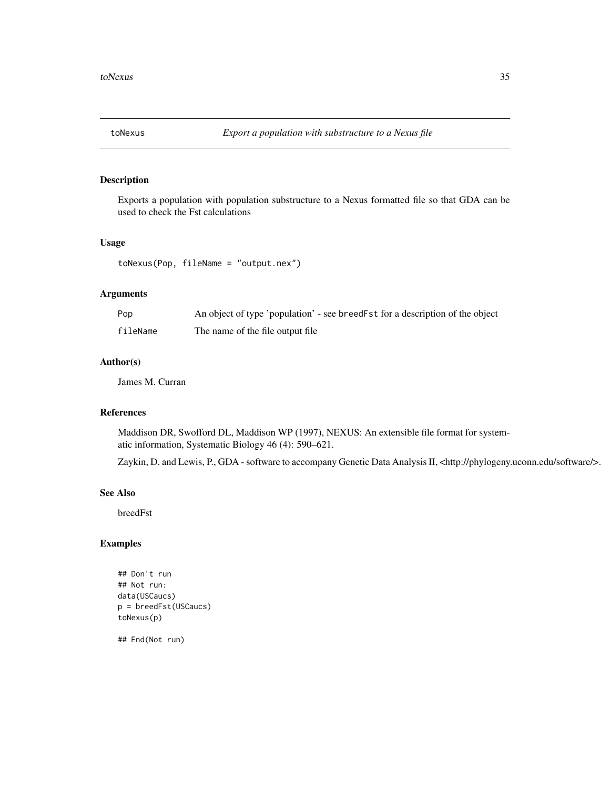<span id="page-34-0"></span>

Exports a population with population substructure to a Nexus formatted file so that GDA can be used to check the Fst calculations

#### Usage

toNexus(Pop, fileName = "output.nex")

#### Arguments

| Pop      | An object of type 'population' - see breed Fst for a description of the object |
|----------|--------------------------------------------------------------------------------|
| fileName | The name of the file output file                                               |

#### Author(s)

James M. Curran

#### References

Maddison DR, Swofford DL, Maddison WP (1997), NEXUS: An extensible file format for systematic information, Systematic Biology 46 (4): 590–621.

Zaykin, D. and Lewis, P., GDA - software to accompany Genetic Data Analysis II, <http://phylogeny.uconn.edu/software/>.

#### See Also

breedFst

#### Examples

```
## Don't run
## Not run:
data(USCaucs)
p = breedFst(USCaucs)
toNexus(p)
```
## End(Not run)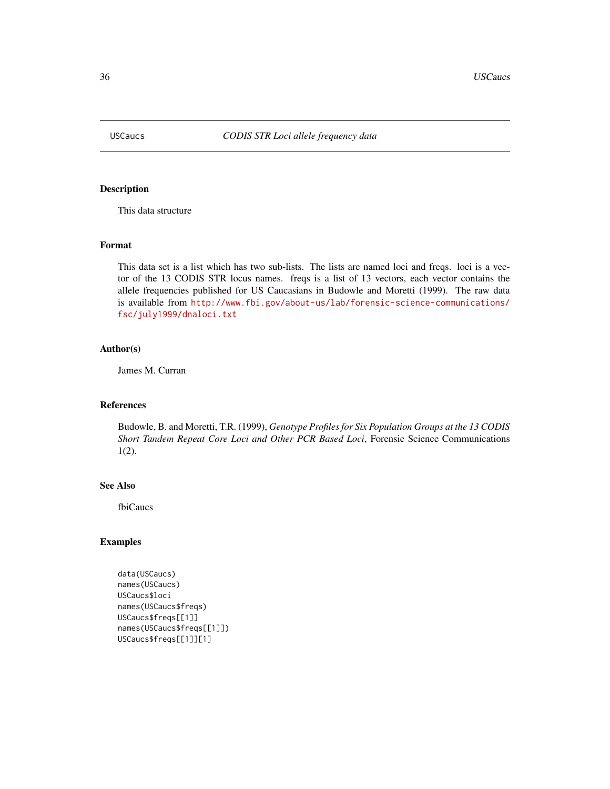<span id="page-35-0"></span>

This data structure

#### Format

This data set is a list which has two sub-lists. The lists are named loci and freqs. loci is a vector of the 13 CODIS STR locus names. freqs is a list of 13 vectors, each vector contains the allele frequencies published for US Caucasians in Budowle and Moretti (1999). The raw data is available from [http://www.fbi.gov/about-us/lab/forensic-science-communications/](http://www.fbi.gov/about-us/lab/forensic-science-communications/fsc/july1999/dnaloci.txt) [fsc/july1999/dnaloci.txt](http://www.fbi.gov/about-us/lab/forensic-science-communications/fsc/july1999/dnaloci.txt)

#### Author(s)

James M. Curran

#### References

Budowle, B. and Moretti, T.R. (1999), *Genotype Profiles for Six Population Groups at the 13 CODIS Short Tandem Repeat Core Loci and Other PCR Based Loci*, Forensic Science Communications 1(2).

#### See Also

fbiCaucs

#### Examples

```
data(USCaucs)
names(USCaucs)
USCaucs$loci
names(USCaucs$freqs)
USCaucs$freqs[[1]]
names(USCaucs$freqs[[1]])
USCaucs$freqs[[1]][1]
```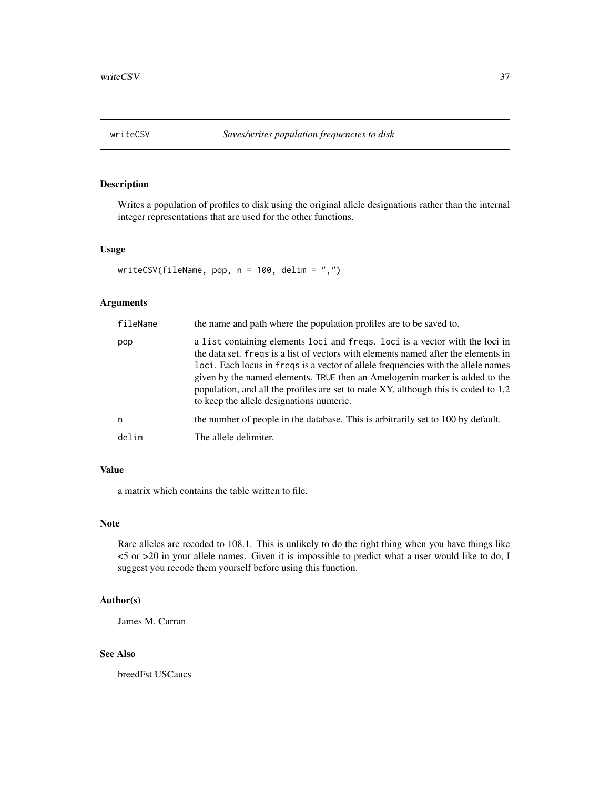<span id="page-36-0"></span>Writes a population of profiles to disk using the original allele designations rather than the internal integer representations that are used for the other functions.

#### Usage

```
writeCSV(fileName, pop, n = 100, delim = ",")
```
#### Arguments

| fileName | the name and path where the population profiles are to be saved to.                                                                                                                                                                                                                                                                                                                                                                                                      |
|----------|--------------------------------------------------------------------------------------------------------------------------------------------------------------------------------------------------------------------------------------------------------------------------------------------------------------------------------------------------------------------------------------------------------------------------------------------------------------------------|
| pop      | a list containing elements loci and freqs. loci is a vector with the loci in<br>the data set. freqs is a list of vectors with elements named after the elements in<br>loci. Each locus in freqs is a vector of allele frequencies with the allele names<br>given by the named elements. TRUE then an Amelogenin marker is added to the<br>population, and all the profiles are set to male XY, although this is coded to 1,2<br>to keep the allele designations numeric. |
| n        | the number of people in the database. This is arbitrarily set to 100 by default.                                                                                                                                                                                                                                                                                                                                                                                         |
| delim    | The allele delimiter.                                                                                                                                                                                                                                                                                                                                                                                                                                                    |

#### Value

a matrix which contains the table written to file.

#### Note

Rare alleles are recoded to 108.1. This is unlikely to do the right thing when you have things like <5 or >20 in your allele names. Given it is impossible to predict what a user would like to do, I suggest you recode them yourself before using this function.

#### Author(s)

James M. Curran

#### See Also

breedFst USCaucs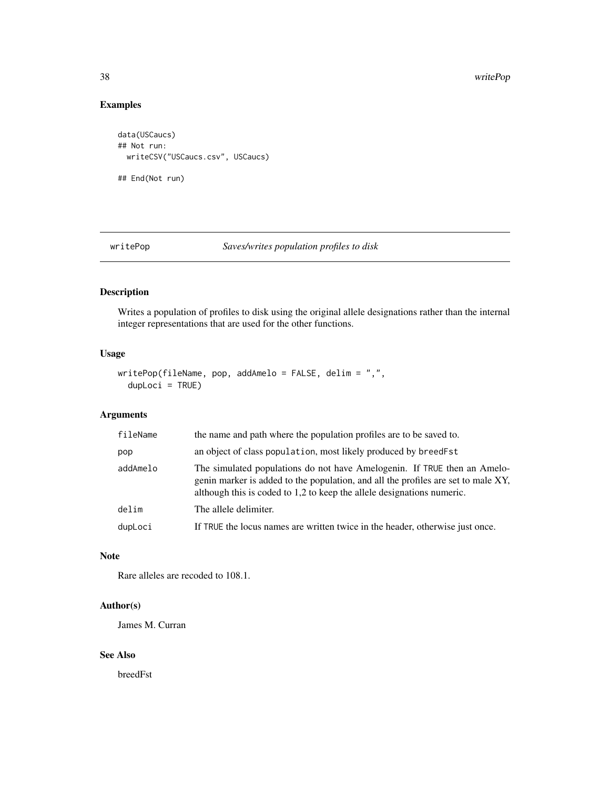<span id="page-37-0"></span>38 writePop

#### Examples

```
data(USCaucs)
## Not run:
  writeCSV("USCaucs.csv", USCaucs)
## End(Not run)
```
writePop *Saves/writes population profiles to disk*

#### Description

Writes a population of profiles to disk using the original allele designations rather than the internal integer representations that are used for the other functions.

#### Usage

```
writePop(fileName, pop, addAmelo = FALSE, delim = ",",
  dupLoci = TRUE)
```
#### Arguments

| fileName | the name and path where the population profiles are to be saved to.                                                                                                                                                                     |
|----------|-----------------------------------------------------------------------------------------------------------------------------------------------------------------------------------------------------------------------------------------|
| pop      | an object of class population, most likely produced by breed Fst                                                                                                                                                                        |
| addAmelo | The simulated populations do not have Amelogenin. If TRUE then an Amelo-<br>genin marker is added to the population, and all the profiles are set to male XY,<br>although this is coded to 1,2 to keep the allele designations numeric. |
| delim    | The allele delimiter.                                                                                                                                                                                                                   |
| dupLoci  | If TRUE the locus names are written twice in the header, otherwise just once.                                                                                                                                                           |

#### Note

Rare alleles are recoded to 108.1.

#### Author(s)

James M. Curran

#### See Also

breedFst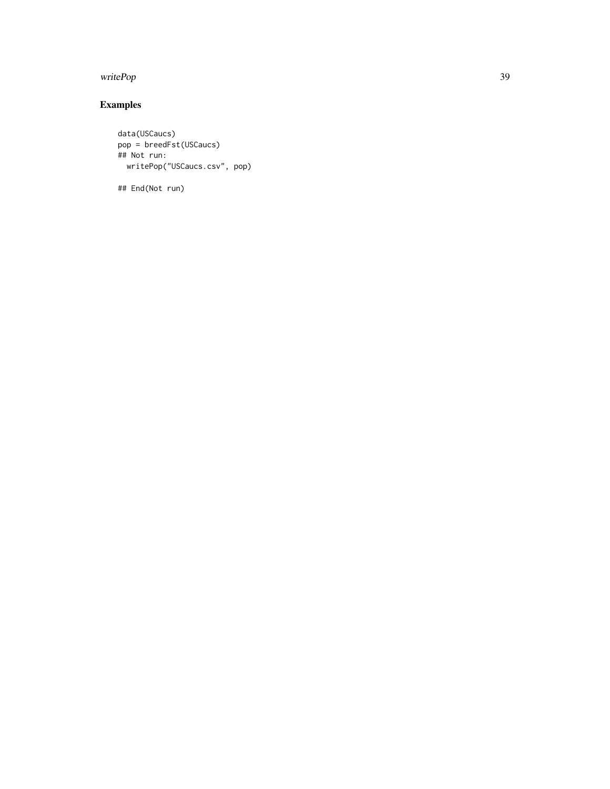#### writePop 39

## Examples

```
data(USCaucs)
pop = breedFst(USCaucs)
## Not run:
 writePop("USCaucs.csv", pop)
```
## End(Not run)